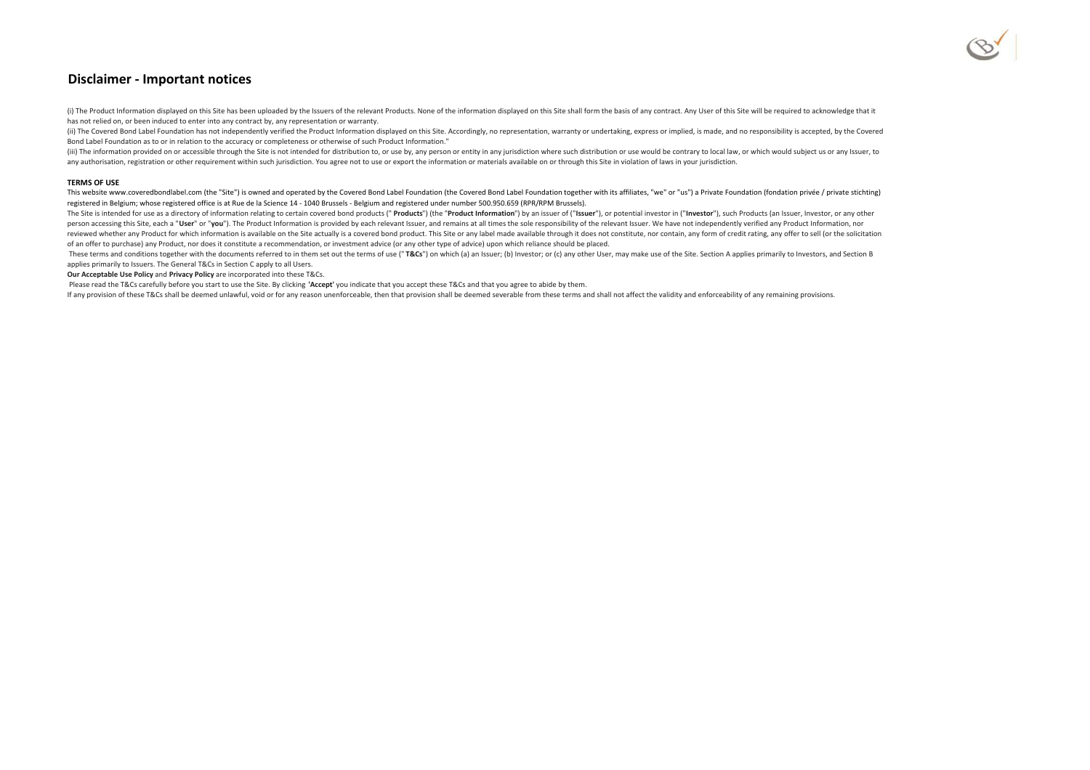

## **Disclaimer - Important notices**

(i) The Product Information displayed on this Site has been uploaded by the Issuers of the relevant Products. None of the information displayed on this Site shall form the basis of any contract. Any User of this Site will has not relied on, or been induced to enter into any contract by, any representation or warranty.

(ii) The Covered Bond Label Foundation has not independently verified the Product Information displayed on this Site. Accordingly, no representation, warranty or undertaking, express or implied, is made, and no responsibil Bond Label Foundation as to or in relation to the accuracy or completeness or otherwise of such Product Information."

(iii) The information provided on or accessible through the Site is not intended for distribution to, or use by, any person or entity in any jurisdiction where such distribution or use would be contrary to local law, or wh any authorisation, registration or other requirement within such jurisdiction. You agree not to use or export the information or materials available on or through this Site in violation of laws in your jurisdiction.

#### **TERMS OF USE**

This website www.coveredbondlabel.com (the "Site") is owned and operated by the Covered Bond Label Foundation (the Covered Bond Label Foundation together with its affiliates, "we" or "us") a Private Foundation fondation pr registered in Belgium; whose registered office is at Rue de la Science 14 - 1040 Brussels - Belgium and registered under number 500.950.659 (RPR/RPM Brussels).

The Site is intended for use as a directory of information relating to certain covered bond products (" Products") (the "Product Information") by an issuer of ("Issuer"), or potential investor in ("Investor"), such Product person accessing this Site, each a "User" or "you"). The Product Information is provided by each relevant Issuer, and remains at all times the sole responsibility of the relevant Issuer. We have not independently verified reviewed whether any Product for which information is available on the Site actually is a covered bond product. This Site or any label made available through it does not constitute, nor contain, any form of credit rating, of an offer to purchase) any Product, nor does it constitute a recommendation, or investment advice (or any other type of advice) upon which reliance should be placed.

These terms and conditions together with the documents referred to in them set out the terms of use ("T&Cs") on which (a) an Issuer; (b) Investor; or (c) any other User, may make use of the Site. Section A applies primaril applies primarily to Issuers. The General T&Cs in Section C apply to all Users.

**Our Acceptable Use Policy** and **Privacy Policy** are incorporated into these T&Cs.

Please read the T&Cs carefully before you start to use the Site. By clicking **'Accept'** you indicate that you accept these T&Cs and that you agree to abide by them.

If any provision of these T&Cs shall be deemed unlawful, void or for any reason unenforceable, then that provision shall be deemed severable from these terms and shall not affect the validity and enforceability of any rema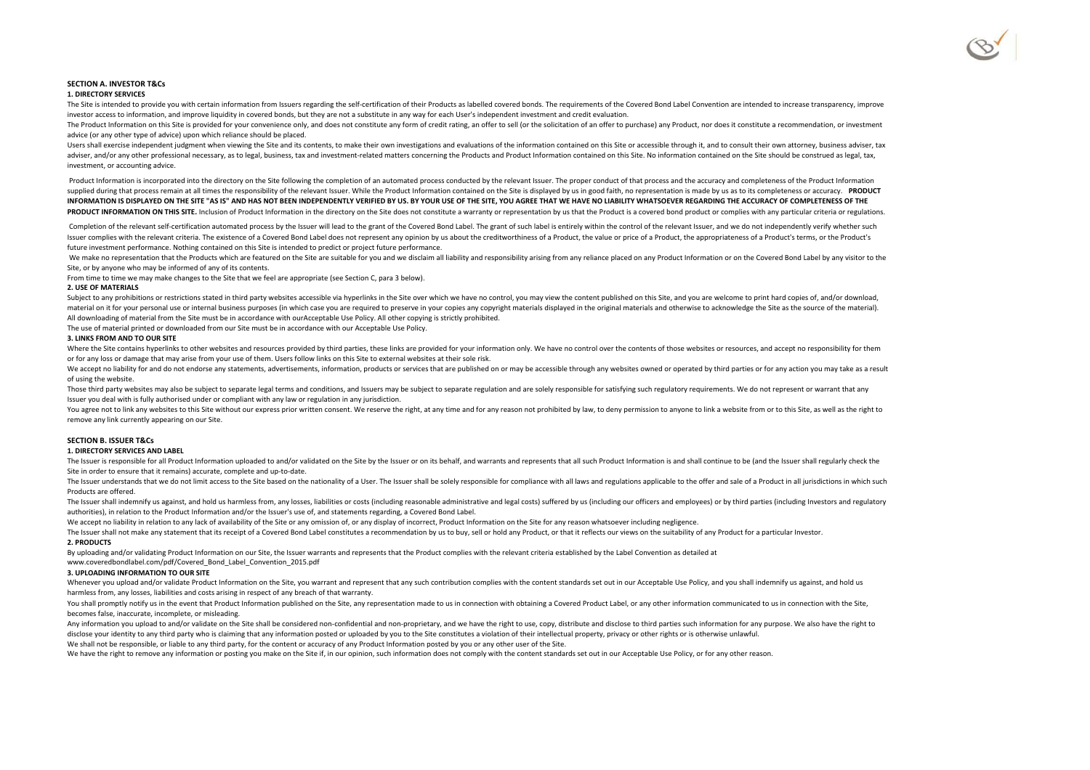

### **SECTION A. INVESTOR T&Cs**

#### **1. DIRECTORY SERVICES**

The Site is intended to provide you with certain information from Issuers regarding the self-certification of their Products as labelled covered bonds. The requirements of the Covered Bond Label Convention are intended to investor access to information, and improve liquidity in covered bonds, but they are not a substitute in any way for each User's independent investment and credit evaluation.

The Product Information on this Site is provided for your convenience only, and does not constitute any form of credit rating, an offer to sell (or the solicitation of an offer to purchase) any Product, nor does it constit advice (or any other type of advice) upon which reliance should be placed.

Users shall exercise independent judgment when viewing the Site and its contents, to make their own investigations and evaluations of the information contained on this Site or accessible through it, and to consult their ow adviser, and/or any other professional necessary, as to legal, business, tax and investment-related matters concerning the Products and Product Information contained on this Site. No information contained on the Site shoul investment, or accounting advice.

Product Information is incorporated into the directory on the Site following the completion of an automated process conducted by the relevant Issuer. The proper conduct of that process and the accuracy and completeness of supplied during that process remain at all times the responsibility of the relevant Issuer. While the Product Information contained on the Site is displayed by us in good faith, no representation is made by us as to its co **INFORMATION IS DISPLAYED ON THE SITE "AS IS" AND HAS NOT BEEN INDEPENDENTLY VERIFIED BY US. BY YOUR USE OF THE SITE, YOU AGREE THAT WE HAVE NO LIABILITY WHATSOEVER REGARDING THE ACCURACY OF COMPLETENESS OF THE** PRODUCT INFORMATION ON THIS SITE. Inclusion of Product Information in the directory on the Site does not constitute a warranty or representation by us that the Product is a covered bond product or complies with any particu

Completion of the relevant self-certification automated process by the Issuer will lead to the grant of the Covered Bond Label. The grant of such label is entirely within the control of the relevant Issuer, and we do not i Issuer complies with the relevant criteria. The existence of a Covered Bond Label does not represent any opinion by us about the creditworthiness of a Product, the value or price of a Product, the appropriateness of a Prod future investment performance. Nothing contained on this Site is intended to predict or project future performance.

We make no representation that the Products which are featured on the Site are suitable for you and we disclaim all liability and responsibility arising from any reliance placed on any Product Information or on the Covered Site, or by anyone who may be informed of any of its contents.

From time to time we may make changes to the Site that we feel are appropriate (see Section C, para 3 below).

#### **2. USE OF MATERIALS**

Subject to any prohibitions or restrictions stated in third party websites accessible via hyperlinks in the Site over which we have no control, you may view the content published on this Site, and you are welcome to print material on it for your personal use or internal business purposes (in which case you are required to preserve in your copies any copyright materials displayed in the original materials and otherwise to acknowledge the Sit All downloading of material from the Site must be in accordance with ourAcceptable Use Policy. All other copying is strictly prohibited.

The use of material printed or downloaded from our Site must be in accordance with our Acceptable Use Policy.

#### **3. LINKS FROM AND TO OUR SITE**

Where the Site contains hyperlinks to other websites and resources provided by third parties, these links are provided for your information only. We have no control over the contents of those websites or resources, and acc or for any loss or damage that may arise from your use of them. Users follow links on this Site to external websites at their sole risk.

We accept no liability for and do not endorse any statements, advertisements, information, products or services that are published on or may be accessible through any websites owned or operated by third parties or for any of using the website.

Those third party websites may also be subject to separate legal terms and conditions, and Issuers may be subject to separate regulation and are solely responsible for satisfying such regulatory requirements. We do not rep Issuer you deal with is fully authorised under or compliant with any law or regulation in any jurisdiction.

You agree not to link any websites to this Site without our express prior written consent. We reserve the right, at any time and for any reason not prohibited by law, to deny permission to anyone to link a website from or remove any link currently appearing on our Site.

#### **SECTION B. ISSUER T&Cs**

#### **1. DIRECTORY SERVICES AND LABEL**

The Issuer is responsible for all Product Information uploaded to and/or validated on the Site by the Issuer or on its behalf, and warrants and represents that all such Product Information is and shall continue to be (and Site in order to ensure that it remains) accurate, complete and up-to-date.

The Issuer understands that we do not limit access to the Site based on the nationality of a User. The Issuer shall be solely responsible for compliance with all laws and regulations applicable to the offer and sale of a P Products are offered.

The Issuer shall indemnify us against, and hold us harmless from, any losses, liabilities or costs (including reasonable administrative and legal costs) suffered by us (including our officers and employees) or by third par authorities), in relation to the Product Information and/or the Issuer's use of, and statements regarding, a Covered Bond Label.

We accept no liability in relation to any lack of availability of the Site or any omission of, or any display of incorrect, Product Information on the Site for any reason whatsoever including negligence.

The Issuer shall not make any statement that its receipt of a Covered Bond Label constitutes a recommendation by us to buy, sell or hold any Product, or that it reflects our views on the suitability of any Product for a pa **2. PRODUCTS**

By uploading and/or validating Product Information on our Site, the Issuer warrants and represents that the Product complies with the relevant criteria established by the Label Convention as detailed at

www.coveredbondlabel.com/pdf/Covered\_Bond\_Label\_Convention\_2015.pdf

#### **3. UPLOADING INFORMATION TO OUR SITE**

Whenever you upload and/or validate Product Information on the Site, you warrant and represent that any such contribution complies with the content standards set out in our Acceptable Use Policy, and you shall indemnify us harmless from, any losses, liabilities and costs arising in respect of any breach of that warranty.

You shall promptly notify us in the event that Product Information published on the Site, any representation made to us in connection with obtaining a Covered Product Label, or any other information communicated to us in c becomes false, inaccurate, incomplete, or misleading.

Any information you upload to and/or validate on the Site shall be considered non-confidential and non-proprietary, and we have the right to use, copy, distribute and disclose to third parties such information for any purp disclose your identity to any third party who is claiming that any information posted or uploaded by you to the Site constitutes a violation of their intellectual property, privacy or other rights or is otherwise unlawful.

We shall not be responsible, or liable to any third party, for the content or accuracy of any Product Information posted by you or any other user of the Site.

We have the right to remove any information or posting you make on the Site if, in our opinion, such information does not comply with the content standards set out in our Acceptable Use Policy, or for any other reason.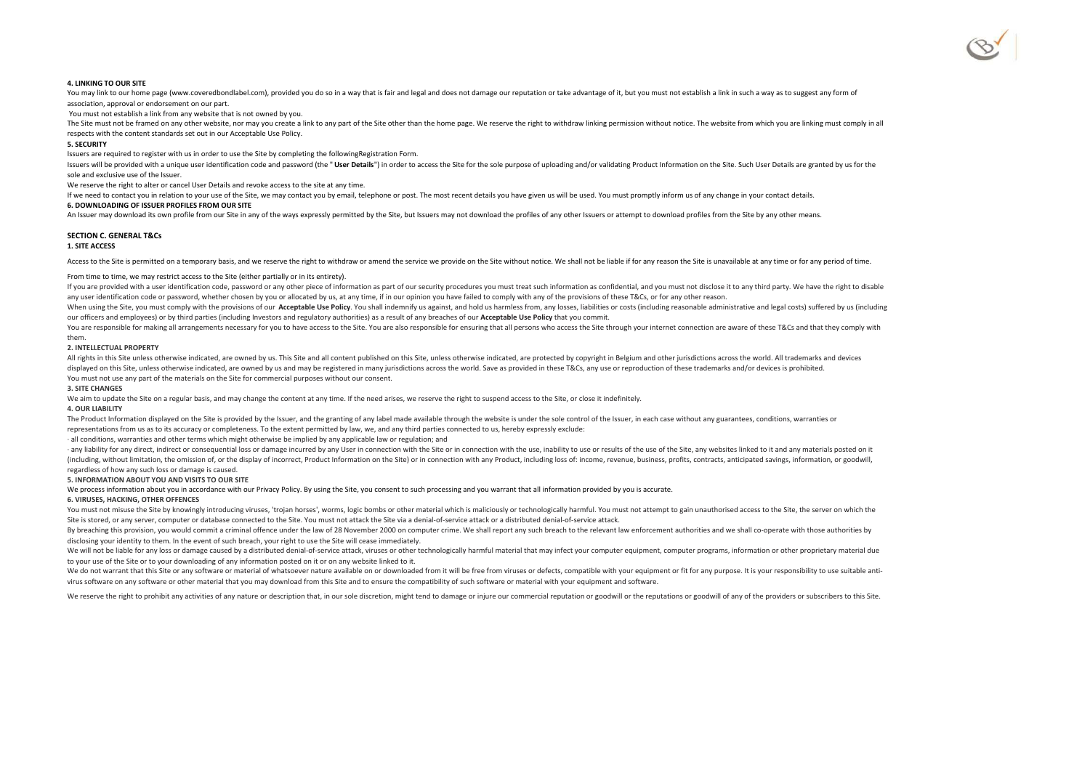

#### **4. LINKING TO OUR SITE**

You may link to our home page (www.coveredbondlabel.com), provided you do so in a way that is fair and legal and does not damage our reputation or take advantage of it, but you must not establish a link in such a way as to association, approval or endorsement on our part.

You must not establish a link from any website that is not owned by you.

The Site must not be framed on any other website, nor may you create a link to any part of the Site other than the home page. We reserve the right to withdraw linking permission without notice. The website from which you a respects with the content standards set out in our Acceptable Use Policy.

#### **5. SECURITY**

Issuers are required to register with us in order to use the Site by completing the followingRegistration Form.

Issuers will be provided with a unique user identification code and password (the "User Details") in order to access the Site for the sole purpose of uploading and/or validating Product Information on the Site. Such User D sole and exclusive use of the Issuer.

We reserve the right to alter or cancel User Details and revoke access to the site at any time.

If we need to contact you in relation to your use of the Site, we may contact you by email, telephone or post. The most recent details you have given us will be used. You must promptly inform us of any change in your conta

#### **6. DOWNLOADING OF ISSUER PROFILES FROM OUR SITE**

An Issuer may download its own profile from our Site in any of the ways expressly permitted by the Site, but Issuers may not download the profiles of any other Issuers or attempt to download profiles from the Site by any o

#### **SECTION C. GENERAL T&Cs**

#### **1. SITE ACCESS**

Access to the Site is permitted on a temporary basis, and we reserve the right to withdraw or amend the service we provide on the Site without notice. We shall not be liable if for any reason the Site is unavailable at any

#### From time to time, we may restrict access to the Site (either partially or in its entirety).

If you are provided with a user identification code, password or any other piece of information as part of our security procedures you must treat such information as confidential, and you must not disclose it to any third any user identification code or password, whether chosen by you or allocated by us, at any time, if in our opinion you have failed to comply with any of the provisions of these T&Cs, or for any other reason.

When using the Site, you must comply with the provisions of our Acceptable Use Policy. You shall indemnify us against, and hold us harmless from, any losses, liabilities or costs (including reasonable administrative and le our officers and employees) or by third parties (including Investors and regulatory authorities) as a result of any breaches of our **Acceptable Use Policy** that you commit.

You are responsible for making all arrangements necessary for you to have access to the Site. You are also responsible for ensuring that all persons who access the Site through your internet connection are aware of these T them.

#### **2. INTELLECTUAL PROPERTY**

All rights in this Site unless otherwise indicated, are owned by us. This Site and all content published on this Site, unless otherwise indicated, are protected by copyright in Belgium and other jurisdictions across the wo displayed on this Site, unless otherwise indicated, are owned by us and may be registered in many jurisdictions across the world. Save as provided in these T&Cs, any use or reproduction of these trademarks and/or devices i You must not use any part of the materials on the Site for commercial purposes without our consent.

#### **3. SITE CHANGES**

We aim to update the Site on a regular basis, and may change the content at any time. If the need arises, we reserve the right to suspend access to the Site, or close it indefinitely.

### **4. OUR LIABILITY**

The Product Information displayed on the Site is provided by the Issuer, and the granting of any label made available through the website is under the sole control of the Issuer, in each case without any guarantees, condit representations from us as to its accuracy or completeness. To the extent permitted by law, we, and any third parties connected to us, hereby expressly exclude:

· all conditions, warranties and other terms which might otherwise be implied by any applicable law or regulation; and

- any liability for any direct, indirect or consequential loss or damage incurred by any User in connection with the Site or in connection with the use, inability to use or results of the use of the Site, any websites link (including, without limitation, the omission of, or the display of incorrect, Product Information on the Site) or in connection with any Product, including loss of: income, revenue, business, profits, contracts, anticipate regardless of how any such loss or damage is caused.

#### **5. INFORMATION ABOUT YOU AND VISITS TO OUR SITE**

We process information about you in accordance with our Privacy Policy. By using the Site, you consent to such processing and you warrant that all information provided by you is accurate.

#### **6. VIRUSES, HACKING, OTHER OFFENCES**

You must not misuse the Site by knowingly introducing viruses, 'trojan horses', worms, logic bombs or other material which is maliciously or technologically harmful. You must not attempt to gain unauthorised access to the Site is stored, or any server, computer or database connected to the Site. You must not attack the Site via a denial-of-service attack or a distributed denial-of-service attack.

By breaching this provision, you would commit a criminal offence under the law of 28 November 2000 on computer crime. We shall report any such breach to the relevant law enforcement authorities and we shall co-operate with disclosing your identity to them. In the event of such breach, your right to use the Site will cease immediately.

We will not be liable for any loss or damage caused by a distributed denial-of-service attack, viruses or other technologically harmful material that may infect your computer equipment, computer programs, information or ot to your use of the Site or to your downloading of any information posted on it or on any website linked to it.

We do not warrant that this Site or any software or material of whatsoever nature available on or downloaded from it will be free from viruses or defects, compatible with your equipment or fit for any purpose. It is your r virus software on any software or other material that you may download from this Site and to ensure the compatibility of such software or material with your equipment and software.

We reserve the right to prohibit any activities of any nature or description that, in our sole discretion, might tend to damage or injure our commercial reputation or goodwill or the reputations or goodwill of any of the p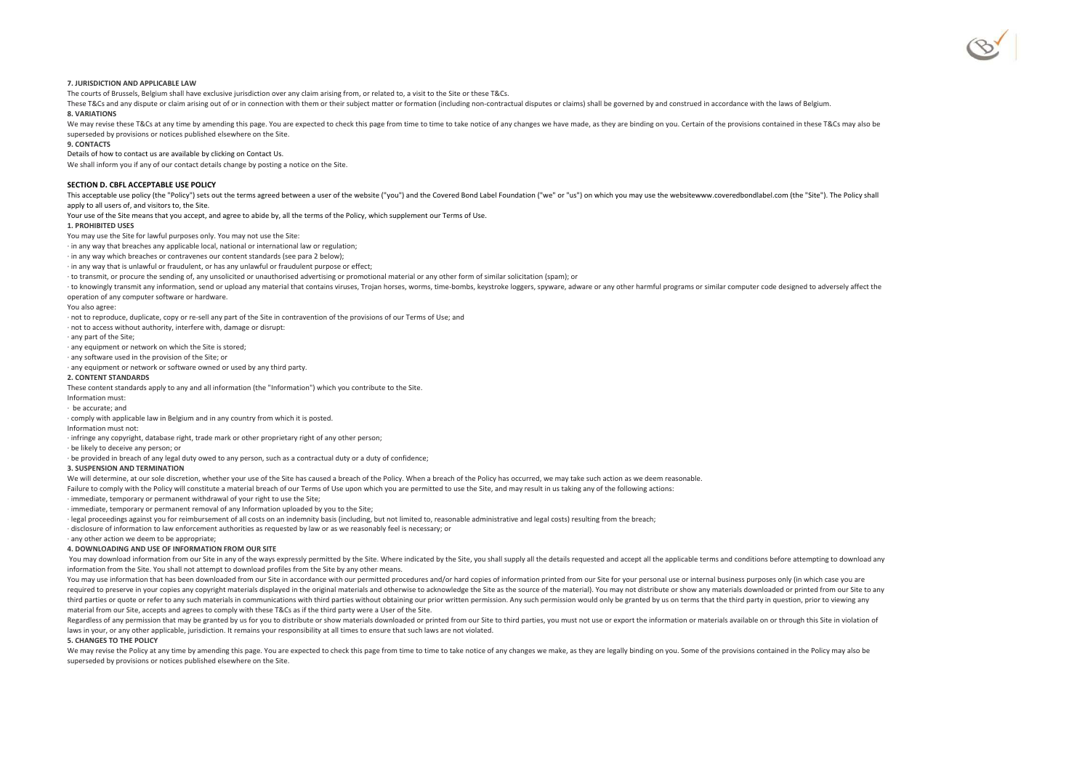

#### **7. JURISDICTION AND APPLICABLE LAW**

The courts of Brussels, Belgium shall have exclusive jurisdiction over any claim arising from, or related to, a visit to the Site or these T&Cs.

These T&Cs and any dispute or claim arising out of or in connection with them or their subject matter or formation (including non-contractual disputes or claims) shall be governed by and construed in accordance with the la **8. VARIATIONS**

We may revise these T&Cs at any time by amending this page. You are expected to check this page from time to time to take notice of any changes we have made, as they are binding on you. Certain of the provisions contained superseded by provisions or notices published elsewhere on the Site.

#### **9. CONTACTS**

Details of how to contact us are available by clicking on Contact Us.

We shall inform you if any of our contact details change by posting a notice on the Site.

#### **SECTION D. CBFL ACCEPTABLE USE POLICY**

This acceptable use policy (the "Policy") sets out the terms agreed between a user of the website ("you") and the Covered Bond Label Foundation ("we" or "us") on which you may use the websitewww.coveredbondlabel.com (the " apply to all users of, and visitors to, the Site.

Your use of the Site means that you accept, and agree to abide by, all the terms of the Policy, which supplement our Terms of Use.

#### **1. PROHIBITED USES**

#### You may use the Site for lawful purposes only. You may not use the Site:

· in any way that breaches any applicable local, national or international law or regulation;

· in any way which breaches or contravenes our content standards (see para 2 below);

· in any way that is unlawful or fraudulent, or has any unlawful or fraudulent purpose or effect;

· to transmit, or procure the sending of, any unsolicited or unauthorised advertising or promotional material or any other form of similar solicitation (spam); or

to knowingly transmit any information, send or upload any material that contains viruses, Trojan horses, worms, time-bombs, keystroke loggers, spyware, adware or any other harmful programs or similar computer code designed

operation of any computer software or hardware.

You also agree:

· not to reproduce, duplicate, copy or re-sell any part of the Site in contravention of the provisions of our Terms of Use; and

· not to access without authority, interfere with, damage or disrupt:

· any part of the Site;

· any equipment or network on which the Site is stored;

· any software used in the provision of the Site; or

· any equipment or network or software owned or used by any third party.

#### **2. CONTENT STANDARDS**

These content standards apply to any and all information (the "Information") which you contribute to the Site.

Information must:

· be accurate; and

· comply with applicable law in Belgium and in any country from which it is posted.

Information must not:

· infringe any copyright, database right, trade mark or other proprietary right of any other person;

· be likely to deceive any person; or

· be provided in breach of any legal duty owed to any person, such as a contractual duty or a duty of confidence;

#### **3. SUSPENSION AND TERMINATION**

We will determine, at our sole discretion, whether your use of the Site has caused a breach of the Policy. When a breach of the Policy has occurred, we may take such action as we deem reasonable.

Failure to comply with the Policy will constitute a material breach of our Terms of Use upon which you are permitted to use the Site, and may result in us taking any of the following actions:

· immediate, temporary or permanent withdrawal of your right to use the Site;

· immediate, temporary or permanent removal of any Information uploaded by you to the Site;

· legal proceedings against you for reimbursement of all costs on an indemnity basis (including, but not limited to, reasonable administrative and legal costs) resulting from the breach;

· disclosure of information to law enforcement authorities as requested by law or as we reasonably feel is necessary; or

· any other action we deem to be appropriate;

#### **4. DOWNLOADING AND USE OF INFORMATION FROM OUR SITE**

You may download information from our Site in any of the ways expressly permitted by the Site. Where indicated by the Site, you shall supply all the details requested and accept all the applicable terms and conditions befo information from the Site. You shall not attempt to download profiles from the Site by any other means.

You may use information that has been downloaded from our Site in accordance with our permitted procedures and/or hard copies of information printed from our Site for your personal use or internal business purposes only (i required to preserve in your copies any copyright materials displayed in the original materials and otherwise to acknowledge the Site as the source of the material). You may not distribute or show any materials downloaded third parties or quote or refer to any such materials in communications with third parties without obtaining our prior written permission. Any such permission would only be granted by us on terms that the third party in qu material from our Site, accepts and agrees to comply with these T&Cs as if the third party were a User of the Site.

Regardless of any permission that may be granted by us for you to distribute or show materials downloaded or printed from our Site to third parties, you must not use or export the information or materials available on or t laws in your, or any other applicable, jurisdiction. It remains your responsibility at all times to ensure that such laws are not violated.

#### **5. CHANGES TO THE POLICY**

We may revise the Policy at any time by amending this page. You are expected to check this page from time to time to take notice of any changes we make, as they are legally binding on you. Some of the provisions contained superseded by provisions or notices published elsewhere on the Site.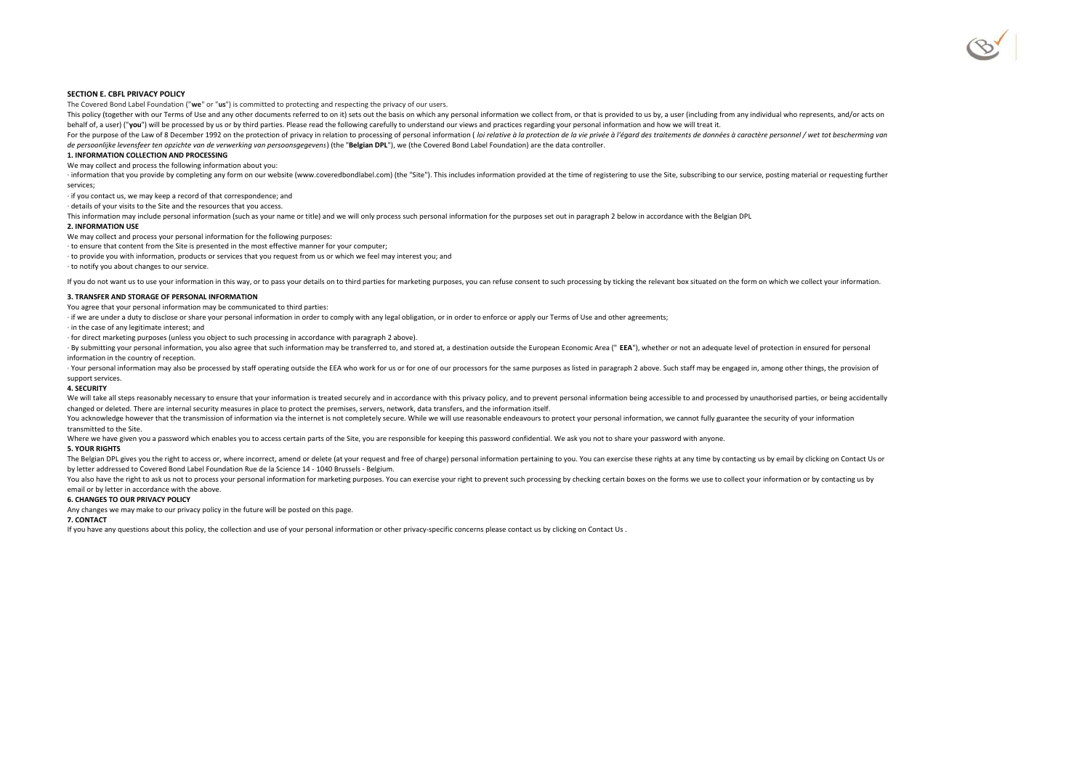#### **SECTION E. CBFL PRIVACY POLICY**

The Covered Bond Label Foundation ("**we**" or "**us**") is committed to protecting and respecting the privacy of our users.

This policy (together with our Terms of Use and any other documents referred to on it) sets out the basis on which any personal information we collect from, or that is provided to us by, a user (including from any individu behalf of, a user) ("**you**") will be processed by us or by third parties. Please read the following carefully to understand our views and practices regarding your personal information and how we will treat it.

For the purpose of the Law of 8 December 1992 on the protection of privacy in relation to processing of personal information (*loi relative à la protection de la vie privée à l'égard des traitements de données à caractère de persoonlijke levensfeer ten opzichte van de verwerking van persoonsgegevens*) (the "**Belgian DPL**"), we (the Covered Bond Label Foundation) are the data controller.

#### **1. INFORMATION COLLECTION AND PROCESSING**

We may collect and process the following information about you:

information that you provide by completing any form on our website (www.coveredbondlabel.com) (the "Site"). This includes information provided at the time of registering to use the Site, subscribing to our service, posting services;

· if you contact us, we may keep a record of that correspondence; and

· details of your visits to the Site and the resources that you access.

This information may include personal information (such as your name or title) and we will only process such personal information for the purposes set out in paragraph 2 below in accordance with the Belgian DPL

#### **2. INFORMATION USE**

We may collect and process your personal information for the following purposes:

· to ensure that content from the Site is presented in the most effective manner for your computer;

· to provide you with information, products or services that you request from us or which we feel may interest you; and

· to notify you about changes to our service.

If you do not want us to use your information in this way, or to pass your details on to third parties for marketing purposes, you can refuse consent to such processing by ticking the relevant box situated on the form on w

#### **3. TRANSFER AND STORAGE OF PERSONAL INFORMATION**

You agree that your personal information may be communicated to third parties:

· if we are under a duty to disclose or share your personal information in order to comply with any legal obligation, or in order to enforce or apply our Terms of Use and other agreements;

· in the case of any legitimate interest; and

· for direct marketing purposes (unless you object to such processing in accordance with paragraph 2 above).

By submitting your personal information, you also agree that such information may be transferred to, and stored at, a destination outside the European Economic Area (" EEA"), whether or not an adequate level of protection information in the country of reception.

Your personal information may also be processed by staff operating outside the EEA who work for us or for one of our processors for the same purposes as listed in paragraph 2 above. Such staff may be engaged in, among othe support services.

#### **4. SECURITY**

We will take all steps reasonably necessary to ensure that your information is treated securely and in accordance with this privacy policy, and to prevent personal information being accessible to and processed by unauthori changed or deleted. There are internal security measures in place to protect the premises, servers, network, data transfers, and the information itself.

You acknowledge however that the transmission of information via the internet is not completely secure. While we will use reasonable endeavours to protect your personal information, we cannot fully guarantee the security o transmitted to the Site.

Where we have given you a password which enables you to access certain parts of the Site, you are responsible for keeping this password confidential. We ask you not to share your password with anyone.

#### **5. YOUR RIGHTS**

The Belgian DPL gives you the right to access or, where incorrect, amend or delete (at your request and free of charge) personal information pertaining to you. You can exercise these rights at any time by contacting us by by letter addressed to Covered Bond Label Foundation Rue de la Science 14 - 1040 Brussels - Belgium.

You also have the right to ask us not to process your personal information for marketing purposes. You can exercise your right to prevent such processing by checking certain boxes on the forms we use to collect your inform email or by letter in accordance with the above.

#### **6. CHANGES TO OUR PRIVACY POLICY**

Any changes we may make to our privacy policy in the future will be posted on this page.

#### **7. CONTACT**

If you have any questions about this policy, the collection and use of your personal information or other privacy-specific concerns please contact us by clicking on Contact Us .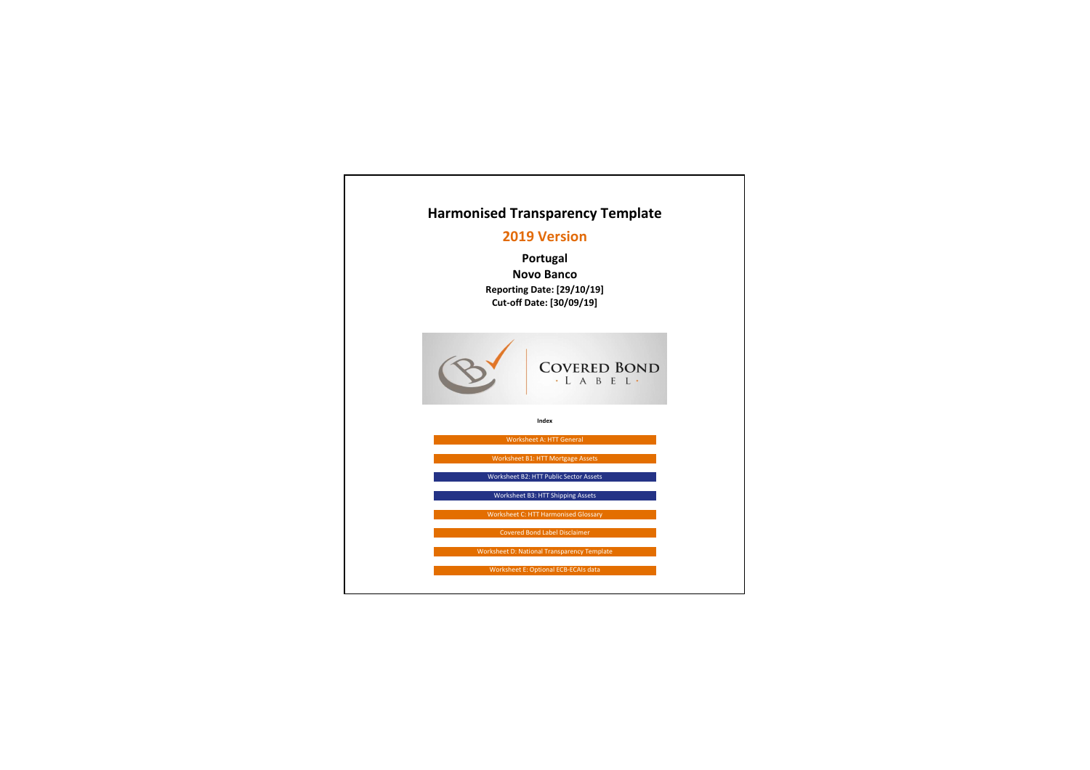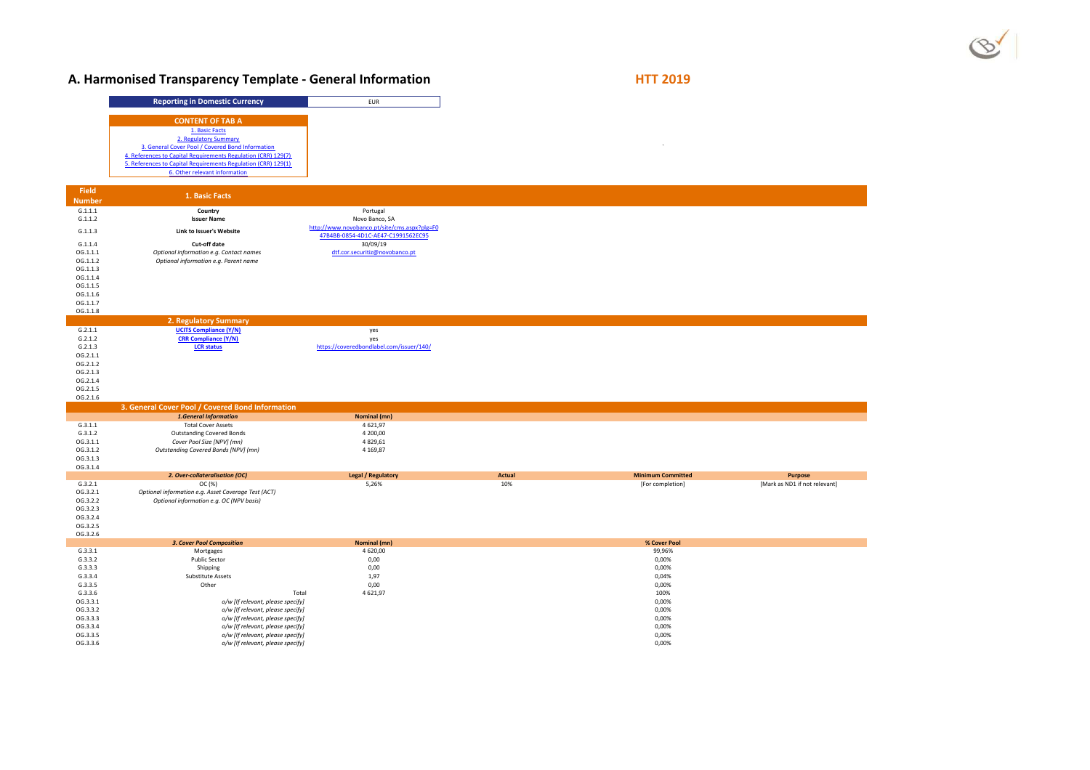# $\circ$

## A. Harmonised Transparency Template - General Information **HTT 2019**

|                      | <b>Reporting in Domestic Currency</b>                                                           | EUR                                          |               |                          |                               |
|----------------------|-------------------------------------------------------------------------------------------------|----------------------------------------------|---------------|--------------------------|-------------------------------|
|                      |                                                                                                 |                                              |               |                          |                               |
|                      | <b>CONTENT OF TAB A</b>                                                                         |                                              |               |                          |                               |
|                      | 1. Basic Facts<br>2. Regulatory Summary                                                         |                                              |               |                          |                               |
|                      | 3. General Cover Pool / Covered Bond Information                                                |                                              |               |                          |                               |
|                      | 4. References to Capital Requirements Regulation (CRR) 129(7)                                   |                                              |               |                          |                               |
|                      | 5. References to Capital Requirements Regulation (CRR) 129(1)                                   |                                              |               |                          |                               |
|                      | 6. Other relevant information                                                                   |                                              |               |                          |                               |
|                      |                                                                                                 |                                              |               |                          |                               |
| <b>Field</b>         | 1. Basic Facts                                                                                  |                                              |               |                          |                               |
| <b>Number</b>        |                                                                                                 |                                              |               |                          |                               |
| G.1.1.1<br>G.1.1.2   | Country<br><b>Issuer Name</b>                                                                   | Portugal<br>Novo Banco, SA                   |               |                          |                               |
|                      |                                                                                                 | http://www.novobanco.pt/site/cms.aspx?plg=F0 |               |                          |                               |
| G.1.1.3              | Link to Issuer's Website                                                                        | 47B4BB-0854-4D1C-AE47-C1991562EC95           |               |                          |                               |
| G.1.1.4              | Cut-off date                                                                                    | 30/09/19                                     |               |                          |                               |
| OG.1.1.1             | Optional information e.g. Contact names                                                         | dtf.cor.securitiz@novobanco.pt               |               |                          |                               |
| OG.1.1.2             | Optional information e.g. Parent name                                                           |                                              |               |                          |                               |
| OG.1.1.3             |                                                                                                 |                                              |               |                          |                               |
| OG.1.1.4<br>OG.1.1.5 |                                                                                                 |                                              |               |                          |                               |
| OG.1.1.6             |                                                                                                 |                                              |               |                          |                               |
| OG.1.1.7             |                                                                                                 |                                              |               |                          |                               |
| OG.1.1.8             |                                                                                                 |                                              |               |                          |                               |
|                      | 2. Regulatory Summary                                                                           |                                              |               |                          |                               |
| G.2.1.1              | <b>UCITS Compliance (Y/N)</b>                                                                   | yes                                          |               |                          |                               |
| G.2.1.2              | <b>CRR Compliance (Y/N)</b>                                                                     | yes                                          |               |                          |                               |
| G.2.1.3              | <b>LCR</b> status                                                                               | https://coveredbondlabel.com/issuer/140/     |               |                          |                               |
| OG.2.1.1<br>OG.2.1.2 |                                                                                                 |                                              |               |                          |                               |
| OG.2.1.3             |                                                                                                 |                                              |               |                          |                               |
| OG.2.1.4             |                                                                                                 |                                              |               |                          |                               |
| OG.2.1.5             |                                                                                                 |                                              |               |                          |                               |
| OG.2.1.6             |                                                                                                 |                                              |               |                          |                               |
|                      | 3. General Cover Pool / Covered Bond Information                                                |                                              |               |                          |                               |
|                      | 1.General Information                                                                           | Nominal (mn)                                 |               |                          |                               |
| G.3.1.1              | <b>Total Cover Assets</b>                                                                       | 4621,97                                      |               |                          |                               |
| G.3.1.2<br>OG.3.1.1  | <b>Outstanding Covered Bonds</b><br>Cover Pool Size [NPV] (mn)                                  | 4 200,00<br>4829,61                          |               |                          |                               |
| OG.3.1.2             | Outstanding Covered Bonds [NPV] (mn)                                                            | 4 1 69,87                                    |               |                          |                               |
| OG.3.1.3             |                                                                                                 |                                              |               |                          |                               |
| OG.3.1.4             |                                                                                                 |                                              |               |                          |                               |
|                      | 2. Over-collateralisation (OC)                                                                  | <b>Legal / Regulatory</b>                    | <b>Actual</b> | <b>Minimum Committed</b> | Purpose                       |
| G.3.2.1              | OC (%)                                                                                          | 5,26%                                        | 10%           | [For completion]         | [Mark as ND1 if not relevant] |
| OG.3.2.1<br>OG.3.2.2 | Optional information e.g. Asset Coverage Test (ACT)<br>Optional information e.g. OC (NPV basis) |                                              |               |                          |                               |
| OG.3.2.3             |                                                                                                 |                                              |               |                          |                               |
| OG.3.2.4             |                                                                                                 |                                              |               |                          |                               |
| OG.3.2.5             |                                                                                                 |                                              |               |                          |                               |
| OG.3.2.6             |                                                                                                 |                                              |               |                          |                               |
|                      | <b>3. Cover Pool Composition</b>                                                                | Nominal (mn)                                 |               | % Cover Pool             |                               |
| G.3.3.1              | Mortgages                                                                                       | 4620,00                                      |               | 99,96%                   |                               |
| G.3.3.2<br>G.3.3.3   | <b>Public Sector</b><br>Shipping                                                                | 0,00<br>0,00                                 |               | 0,00%<br>0,00%           |                               |
| G.3.3.4              | <b>Substitute Assets</b>                                                                        | 1,97                                         |               | 0,04%                    |                               |
| G.3.3.5              | Other                                                                                           | 0,00                                         |               | 0,00%                    |                               |
| G.3.3.6              | Total                                                                                           | 4621,97                                      |               | 100%                     |                               |
| OG.3.3.1             | o/w [If relevant, please specify]                                                               |                                              |               | 0,00%                    |                               |
| OG.3.3.2             | o/w [If relevant, please specify]                                                               |                                              |               | 0,00%                    |                               |
| OG.3.3.3             | o/w [If relevant, please specify]                                                               |                                              |               | 0,00%                    |                               |
| OG.3.3.4             | o/w [If relevant, please specify]                                                               |                                              |               | 0,00%                    |                               |
| OG.3.3.5<br>OG.3.3.6 | o/w [If relevant, please specify]<br>o/w [If relevant, please specify]                          |                                              |               | 0,00%<br>0,00%           |                               |
|                      |                                                                                                 |                                              |               |                          |                               |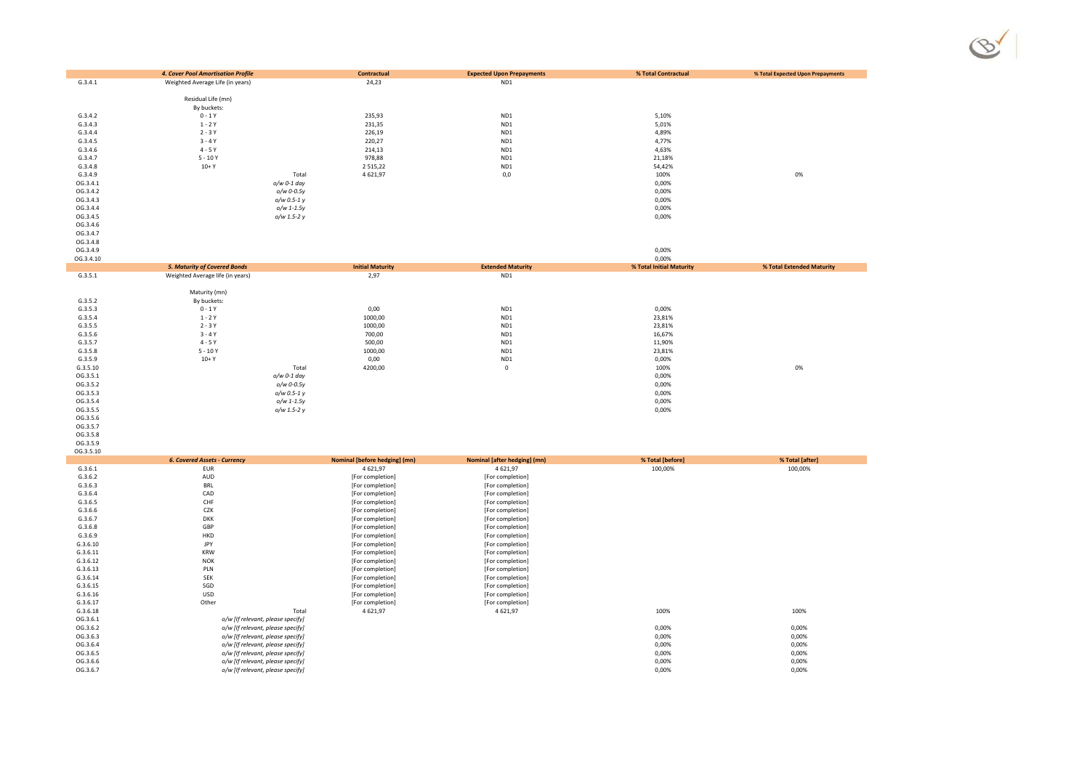|                      | 4. Cover Pool Amortisation Profile  | Contractual                                     | <b>Expected Upon Prepayments</b>           | % Total Contractual         | % Total Expected Upon Prepayments |
|----------------------|-------------------------------------|-------------------------------------------------|--------------------------------------------|-----------------------------|-----------------------------------|
| G.3.4.1              | Weighted Average Life (in years)    | 24,23                                           | ND1                                        |                             |                                   |
|                      |                                     |                                                 |                                            |                             |                                   |
|                      | Residual Life (mn)                  |                                                 |                                            |                             |                                   |
|                      | By buckets:                         |                                                 |                                            |                             |                                   |
| G.3.4.2              | $0 - 1Y$                            | 235,93                                          | ND1                                        | 5,10%                       |                                   |
| G.3.4.3              | $1 - 2Y$                            | 231,35                                          | ND1                                        | 5,01%                       |                                   |
| G.3.4.4              | $2 - 3Y$                            | 226,19                                          | ND1                                        | 4,89%                       |                                   |
| G.3.4.5              | $3 - 4Y$                            | 220,27                                          | ND1                                        | 4,77%                       |                                   |
| G.3.4.6              | $4 - 5Y$                            | 214,13                                          | ND1                                        | 4,63%                       |                                   |
| G.3.4.7              | $5 - 10Y$                           | 978,88                                          | ND1                                        | 21,18%                      |                                   |
| G.3.4.8              | $10+Y$                              | 2 5 1 5 , 2 2                                   | ND1                                        | 54,42%                      |                                   |
| G.3.4.9              | Total                               | 4621,97                                         | 0,0                                        | 100%                        | 0%                                |
| OG.3.4.1             | $o/w$ 0-1 day                       |                                                 |                                            | 0,00%                       |                                   |
| OG.3.4.2             | o/w 0-0.5y                          |                                                 |                                            | 0,00%                       |                                   |
| OG.3.4.3             | o/w 0.5-1 y                         |                                                 |                                            | 0,00%                       |                                   |
| OG.3.4.4             | $o/w$ 1-1.5y                        |                                                 |                                            | 0,00%                       |                                   |
| OG.3.4.5             | o/w 1.5-2 y                         |                                                 |                                            | 0,00%                       |                                   |
| OG.3.4.6             |                                     |                                                 |                                            |                             |                                   |
| OG.3.4.7             |                                     |                                                 |                                            |                             |                                   |
| OG.3.4.8             |                                     |                                                 |                                            |                             |                                   |
| OG.3.4.9             |                                     |                                                 |                                            | 0,00%                       |                                   |
| OG.3.4.10            |                                     |                                                 |                                            | 0,00%                       |                                   |
|                      | <b>5. Maturity of Covered Bonds</b> | <b>Initial Maturity</b>                         | <b>Extended Maturity</b>                   | % Total Initial Maturity    | % Total Extended Maturity         |
| G.3.5.1              | Weighted Average life (in years)    | 2,97                                            | ND1                                        |                             |                                   |
|                      |                                     |                                                 |                                            |                             |                                   |
| G.3.5.2              | Maturity (mn)                       |                                                 |                                            |                             |                                   |
|                      | By buckets:                         |                                                 |                                            |                             |                                   |
| G.3.5.3              | $0 - 1Y$                            | 0,00                                            | ND1                                        | 0,00%                       |                                   |
| G.3.5.4              | $1 - 2Y$                            | 1000,00                                         | ND1                                        | 23,81%                      |                                   |
| G.3.5.5              | $2 - 3Y$                            | 1000,00                                         | ND1                                        | 23,81%                      |                                   |
| G.3.5.6              | $3 - 4Y$<br>$4 - 5Y$                | 700,00                                          | ND1                                        | 16,67%                      |                                   |
| G.3.5.7<br>G.3.5.8   | $5 - 10Y$                           | 500,00                                          | ND1<br>ND1                                 | 11,90%                      |                                   |
|                      | $10+Y$                              | 1000,00                                         |                                            | 23,81%                      |                                   |
| G.3.5.9              |                                     | 0,00                                            | ND1                                        | 0,00%                       |                                   |
| G.3.5.10<br>OG.3.5.1 | Total                               | 4200,00                                         | $\mathsf 0$                                | 100%                        | 0%                                |
| OG.3.5.2             | o/w 0-1 day<br>o/w 0-0.5y           |                                                 |                                            | 0,00%<br>0,00%              |                                   |
|                      |                                     |                                                 |                                            |                             |                                   |
| OG.3.5.3             | $o/w$ 0.5-1 $v$                     |                                                 |                                            | 0,00%                       |                                   |
| OG.3.5.4             | $o/w$ 1-1.5 $v$                     |                                                 |                                            | 0,00%                       |                                   |
| OG.3.5.5<br>OG.3.5.6 | o/w 1.5-2 y                         |                                                 |                                            | 0,00%                       |                                   |
|                      |                                     |                                                 |                                            |                             |                                   |
| OG.3.5.7             |                                     |                                                 |                                            |                             |                                   |
| OG.3.5.8             |                                     |                                                 |                                            |                             |                                   |
| OG.3.5.9             |                                     |                                                 |                                            |                             |                                   |
| OG.3.5.10            | <b>6. Covered Assets - Currency</b> |                                                 |                                            |                             |                                   |
| C2C1                 | <b>CLID</b>                         | Nominal [before hedging] (mn)<br>$A$ $621$ $07$ | Nominal [after hedging] (mn)<br>4 6 21 0 7 | % Total [before]<br>100,00% | % Total [after]<br>100,00%        |

 $\circledcirc$ 

|          | <b>6. Covered Assets - Currency</b> | Nominal [before hedging] (mn) | Nominal [after hedging] (mn) | % Total [before] | % Total [after] |
|----------|-------------------------------------|-------------------------------|------------------------------|------------------|-----------------|
| G.3.6.1  | EUR                                 | 4621,97                       | 4621,97                      | 100,00%          | 100,00%         |
| G.3.6.2  | AUD                                 | [For completion]              | [For completion]             |                  |                 |
| G.3.6.3  | <b>BRL</b>                          | [For completion]              | [For completion]             |                  |                 |
| G.3.6.4  | CAD                                 | [For completion]              | [For completion]             |                  |                 |
| G.3.6.5  | CHF                                 | [For completion]              | [For completion]             |                  |                 |
| G.3.6.6  | CZK                                 | [For completion]              | [For completion]             |                  |                 |
| G.3.6.7  | <b>DKK</b>                          | [For completion]              | [For completion]             |                  |                 |
| G.3.6.8  | GBP                                 | [For completion]              | [For completion]             |                  |                 |
| G.3.6.9  | <b>HKD</b>                          | [For completion]              | [For completion]             |                  |                 |
| G.3.6.10 | JPY                                 | [For completion]              | [For completion]             |                  |                 |
| G.3.6.11 | <b>KRW</b>                          | [For completion]              | [For completion]             |                  |                 |
| G.3.6.12 | <b>NOK</b>                          | [For completion]              | [For completion]             |                  |                 |
| G.3.6.13 | PLN                                 | [For completion]              | [For completion]             |                  |                 |
| G.3.6.14 | SEK                                 | [For completion]              | [For completion]             |                  |                 |
| G.3.6.15 | SGD                                 | [For completion]              | [For completion]             |                  |                 |
| G.3.6.16 | <b>USD</b>                          | [For completion]              | [For completion]             |                  |                 |
| G.3.6.17 | Other                               | [For completion]              | [For completion]             |                  |                 |
| G.3.6.18 | Total                               | 4621,97                       | 4621,97                      | 100%             | 100%            |
| OG.3.6.1 | o/w [If relevant, please specify]   |                               |                              |                  |                 |
| OG.3.6.2 | o/w [If relevant, please specify]   |                               |                              | 0,00%            | 0,00%           |
| OG.3.6.3 | o/w [If relevant, please specify]   |                               |                              | 0,00%            | 0,00%           |
| OG.3.6.4 | o/w [If relevant, please specify]   |                               |                              | 0,00%            | 0,00%           |
| OG.3.6.5 | o/w [If relevant, please specify]   |                               |                              | 0,00%            | 0,00%           |
| OG.3.6.6 | o/w [If relevant, please specify]   |                               |                              | 0,00%            | 0,00%           |
| OG.3.6.7 | o/w [If relevant, please specify]   |                               |                              | 0,00%            | 0,00%           |
|          |                                     |                               |                              |                  |                 |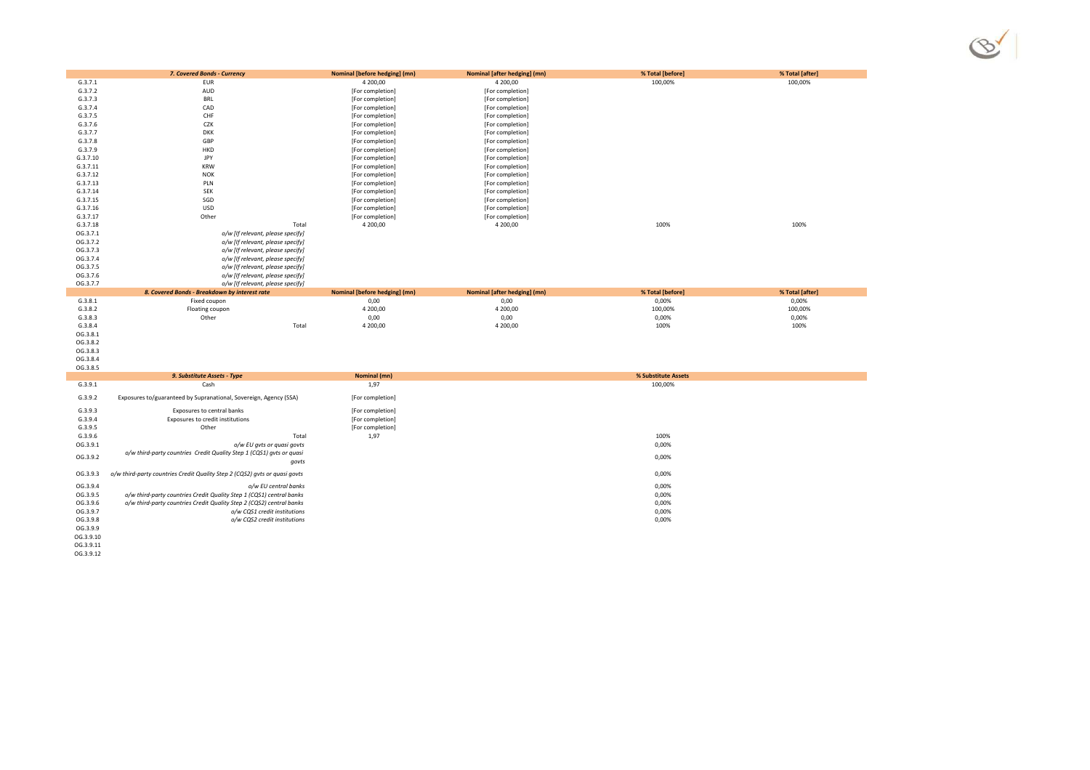

| G.3.7.1               | 7. Covered Bonds - Currency<br>EUR                                         | Nominal [before hedging] (mn)<br>4 200,00 | Nominal [after hedging] (mn)<br>4 200,00 | % Total [before]<br>100,00% | % Total [after]<br>100,00% |
|-----------------------|----------------------------------------------------------------------------|-------------------------------------------|------------------------------------------|-----------------------------|----------------------------|
| G.3.7.2               | AUD                                                                        | [For completion]                          | [For completion]                         |                             |                            |
| G.3.7.3               | BRL                                                                        | [For completion]                          | [For completion]                         |                             |                            |
| G.3.7.4               | CAD                                                                        | [For completion]                          | [For completion]                         |                             |                            |
| G.3.7.5               | CHF                                                                        | [For completion]                          | [For completion]                         |                             |                            |
| G.3.7.6               | CZK                                                                        | [For completion]                          | [For completion]                         |                             |                            |
| G.3.7.7               | <b>DKK</b>                                                                 | [For completion]                          | [For completion]                         |                             |                            |
| G.3.7.8               | GBP                                                                        | [For completion]                          | [For completion]                         |                             |                            |
| G.3.7.9               | HKD                                                                        | [For completion]                          | [For completion]                         |                             |                            |
| G.3.7.10              | JPY                                                                        | [For completion]                          | [For completion]                         |                             |                            |
| G.3.7.11              | <b>KRW</b>                                                                 | [For completion]                          | [For completion]                         |                             |                            |
| G.3.7.12              | <b>NOK</b>                                                                 | [For completion]                          | [For completion]                         |                             |                            |
| G.3.7.13              | PLN                                                                        | [For completion]                          | [For completion]                         |                             |                            |
| G.3.7.14              | SEK                                                                        | [For completion]                          | [For completion]                         |                             |                            |
| G.3.7.15              | SGD                                                                        | [For completion]                          | [For completion]                         |                             |                            |
| G.3.7.16              | <b>USD</b>                                                                 | [For completion]                          | [For completion]                         |                             |                            |
| G.3.7.17              | Other                                                                      | [For completion]                          | [For completion]                         |                             |                            |
| G.3.7.18              | Total                                                                      | 4 200,00                                  | 4 200,00                                 | 100%                        | 100%                       |
| OG.3.7.1              | o/w [If relevant, please specify]                                          |                                           |                                          |                             |                            |
| OG.3.7.2              | o/w [If relevant, please specify]                                          |                                           |                                          |                             |                            |
| OG.3.7.3              | o/w [If relevant, please specify]                                          |                                           |                                          |                             |                            |
| OG.3.7.4              | o/w [If relevant, please specify]                                          |                                           |                                          |                             |                            |
| OG.3.7.5              | o/w [If relevant, please specify]                                          |                                           |                                          |                             |                            |
| OG.3.7.6              | o/w [If relevant, please specify]                                          |                                           |                                          |                             |                            |
| OG.3.7.7              | o/w [If relevant, please specify]                                          |                                           |                                          |                             |                            |
|                       | 8. Covered Bonds - Breakdown by interest rate                              | Nominal [before hedging] (mn)             | Nominal [after hedging] (mn)             | % Total [before]            | % Total [after]            |
| G.3.8.1               | Fixed coupon                                                               | 0,00                                      | 0,00                                     | 0,00%                       | 0,00%                      |
| G.3.8.2               | Floating coupon                                                            | 4 200,00                                  | 4 200,00                                 | 100,00%                     | 100,00%                    |
| G.3.8.3               | Other                                                                      | 0,00                                      | 0,00                                     | 0,00%                       | 0,00%                      |
| G.3.8.4               |                                                                            |                                           |                                          |                             |                            |
|                       | Total                                                                      | 4 200,00                                  | 4 200,00                                 | 100%                        | 100%                       |
| OG.3.8.1              |                                                                            |                                           |                                          |                             |                            |
| OG.3.8.2              |                                                                            |                                           |                                          |                             |                            |
| OG.3.8.3              |                                                                            |                                           |                                          |                             |                            |
| OG.3.8.4              |                                                                            |                                           |                                          |                             |                            |
| OG.3.8.5              |                                                                            |                                           |                                          |                             |                            |
|                       | 9. Substitute Assets - Type                                                | Nominal (mn)                              |                                          | % Substitute Assets         |                            |
| G.3.9.1               | Cash                                                                       | 1,97                                      |                                          | 100,00%                     |                            |
| G.3.9.2               | Exposures to/guaranteed by Supranational, Sovereign, Agency (SSA)          | [For completion]                          |                                          |                             |                            |
| G.3.9.3               | Exposures to central banks                                                 | [For completion]                          |                                          |                             |                            |
| G.3.9.4               | Exposures to credit institutions                                           | [For completion]                          |                                          |                             |                            |
| G.3.9.5               | Other                                                                      | [For completion]                          |                                          |                             |                            |
| G.3.9.6               | Total                                                                      | 1,97                                      |                                          | 100%                        |                            |
| OG.3.9.1              | o/w EU gvts or quasi govts                                                 |                                           |                                          | 0,00%                       |                            |
| OG.3.9.2              | o/w third-party countries Credit Quality Step 1 (CQS1) gvts or quasi       |                                           |                                          | 0,00%                       |                            |
|                       | govts                                                                      |                                           |                                          |                             |                            |
| OG.3.9.3              | o/w third-party countries Credit Quality Step 2 (CQS2) gvts or quasi govts |                                           |                                          | 0,00%                       |                            |
| OG.3.9.4              | o/w EU central banks                                                       |                                           |                                          | 0,00%                       |                            |
| OG.3.9.5              | o/w third-party countries Credit Quality Step 1 (CQS1) central banks       |                                           |                                          | 0,00%                       |                            |
| OG.3.9.6              | o/w third-party countries Credit Quality Step 2 (CQS2) central banks       |                                           |                                          | 0,00%                       |                            |
| OG.3.9.7              | o/w CQS1 credit institutions                                               |                                           |                                          | 0,00%                       |                            |
| OG.3.9.8              | o/w CQS2 credit institutions                                               |                                           |                                          | 0,00%                       |                            |
| OG.3.9.9<br>OG.3.9.10 |                                                                            |                                           |                                          |                             |                            |

OG.3.9.11 OG.3.9.12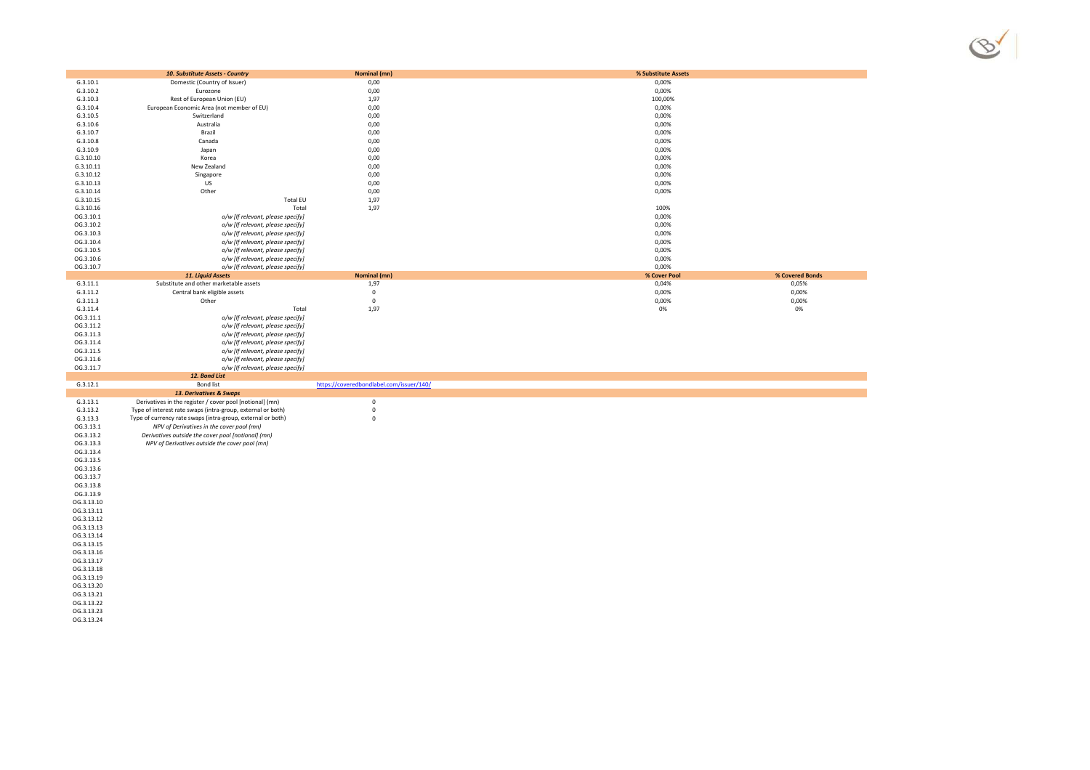

| G.3.10.1                 | 10. Substitute Assets - Country<br>Domestic (Country of Issuer) | Nominal (mn)<br>0,00                     | % Substitute Assets<br>0,00%     |
|--------------------------|-----------------------------------------------------------------|------------------------------------------|----------------------------------|
| G.3.10.2                 | Eurozone                                                        | 0,00                                     | 0,00%                            |
| G.3.10.3                 | Rest of European Union (EU)                                     | 1,97                                     | 100,00%                          |
| G.3.10.4                 | European Economic Area (not member of EU)                       | 0,00                                     | 0,00%                            |
| G.3.10.5                 | Switzerland                                                     | 0,00                                     | 0,00%                            |
| G.3.10.6                 | Australia                                                       | 0,00                                     | 0,00%                            |
| G.3.10.7                 | Brazil                                                          | 0,00                                     | 0,00%                            |
| G.3.10.8                 | Canada                                                          | 0,00                                     | 0,00%                            |
| G.3.10.9                 | Japan                                                           | 0,00                                     | 0,00%                            |
| G.3.10.10                | Korea                                                           | 0,00                                     | 0,00%                            |
| G.3.10.11                | New Zealand                                                     | 0,00                                     | 0,00%                            |
| G.3.10.12                | Singapore                                                       | 0,00                                     | 0,00%                            |
| G.3.10.13                | US                                                              | 0,00                                     | 0,00%                            |
| G.3.10.14                | Other                                                           | 0,00                                     | 0,00%                            |
| G.3.10.15                | <b>Total EU</b>                                                 | 1,97                                     |                                  |
| G.3.10.16                | Total                                                           | 1,97                                     | 100%                             |
| OG.3.10.1                | o/w [If relevant, please specify]                               |                                          | 0,00%                            |
| OG.3.10.2                | o/w [If relevant, please specify]                               |                                          | 0,00%                            |
| OG.3.10.3                | o/w [If relevant, please specify]                               |                                          | 0,00%                            |
| OG.3.10.4                | o/w [If relevant, please specify]                               |                                          | 0,00%                            |
| OG.3.10.5                | o/w [If relevant, please specify]                               |                                          | 0,00%                            |
| OG.3.10.6                | o/w [If relevant, please specify]                               |                                          | 0,00%                            |
| OG.3.10.7                | o/w [If relevant, please specify]                               |                                          | 0,00%                            |
|                          | 11. Liquid Assets                                               | Nominal (mn)                             | % Covered Bonds<br>% Cover Pool  |
| G.3.11.1                 | Substitute and other marketable assets                          | 1,97                                     | 0,04%<br>0,05%                   |
| G.3.11.2<br>G.3.11.3     | Central bank eligible assets<br>Other                           | $\mathsf 0$<br>$\mathbf 0$               | 0,00%<br>0,00%<br>0,00%<br>0,00% |
| G.3.11.4                 | Total                                                           |                                          | 0%<br>0%                         |
| OG.3.11.1                | o/w [If relevant, please specify]                               | 1,97                                     |                                  |
| OG.3.11.2                | o/w [If relevant, please specify]                               |                                          |                                  |
| OG.3.11.3                | o/w [If relevant, please specify]                               |                                          |                                  |
| OG.3.11.4                | o/w [If relevant, please specify]                               |                                          |                                  |
| OG.3.11.5                | o/w [If relevant, please specify]                               |                                          |                                  |
| OG.3.11.6                | o/w [If relevant, please specify]                               |                                          |                                  |
| OG.3.11.7                | o/w [If relevant, please specify]                               |                                          |                                  |
|                          | 12. Bond List                                                   |                                          |                                  |
| G.3.12.1                 | <b>Bond list</b>                                                | https://coveredbondlabel.com/issuer/140/ |                                  |
|                          | 13. Derivatives & Swaps                                         |                                          |                                  |
| G.3.13.1                 | Derivatives in the register / cover pool [notional] (mn)        | $\mathsf 0$                              |                                  |
| G.3.13.2                 | Type of interest rate swaps (intra-group, external or both)     | $\mathsf 0$                              |                                  |
| G.3.13.3                 | Type of currency rate swaps (intra-group, external or both)     | $\mathsf 0$                              |                                  |
| OG.3.13.1                | NPV of Derivatives in the cover pool (mn)                       |                                          |                                  |
| OG.3.13.2                | Derivatives outside the cover pool [notional] (mn)              |                                          |                                  |
| OG.3.13.3                | NPV of Derivatives outside the cover pool (mn)                  |                                          |                                  |
| OG.3.13.4                |                                                                 |                                          |                                  |
| OG.3.13.5                |                                                                 |                                          |                                  |
| OG.3.13.6<br>OG.3.13.7   |                                                                 |                                          |                                  |
| OG.3.13.8                |                                                                 |                                          |                                  |
| OG.3.13.9                |                                                                 |                                          |                                  |
| OG.3.13.10               |                                                                 |                                          |                                  |
| OG.3.13.11               |                                                                 |                                          |                                  |
| OG.3.13.12               |                                                                 |                                          |                                  |
| OG.3.13.13               |                                                                 |                                          |                                  |
| OG.3.13.14               |                                                                 |                                          |                                  |
| OG.3.13.15               |                                                                 |                                          |                                  |
| OG.3.13.16               |                                                                 |                                          |                                  |
| OG.3.13.17               |                                                                 |                                          |                                  |
| OG.3.13.18               |                                                                 |                                          |                                  |
| OG.3.13.19               |                                                                 |                                          |                                  |
| OG.3.13.20               |                                                                 |                                          |                                  |
| OG.3.13.21               |                                                                 |                                          |                                  |
|                          |                                                                 |                                          |                                  |
| OG.3.13.22               |                                                                 |                                          |                                  |
| OG.3.13.23<br>OG.3.13.24 |                                                                 |                                          |                                  |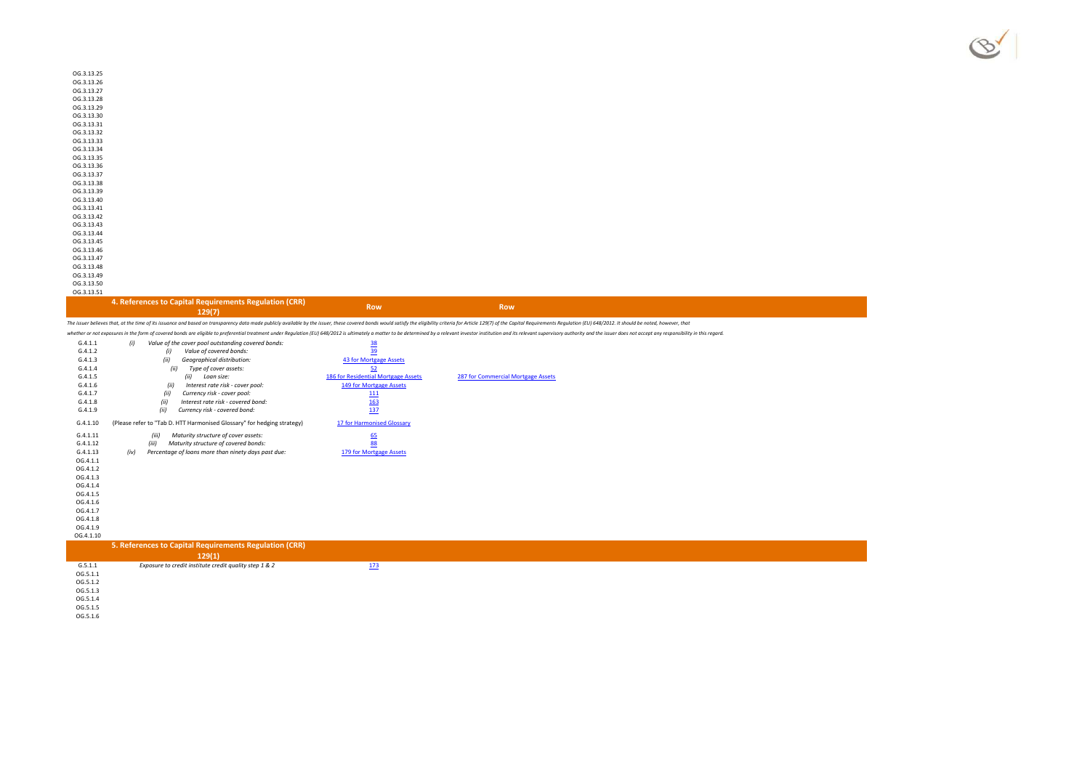| OG.3.13.25 |  |
|------------|--|
| OG.3.13.26 |  |
| OG.3.13.27 |  |
| OG.3.13.28 |  |
| OG.3.13.29 |  |
| OG.3.13.30 |  |
| OG.3.13.31 |  |
| OG.3.13.32 |  |
| OG.3.13.33 |  |
| OG.3.13.34 |  |
| OG.3.13.35 |  |
| OG.3.13.36 |  |
| OG.3.13.37 |  |
| OG.3.13.38 |  |
| OG.3.13.39 |  |
| OG.3.13.40 |  |
| OG.3.13.41 |  |
| OG.3.13.42 |  |
| OG.3.13.43 |  |
| OG.3.13.44 |  |
| OG.3.13.45 |  |
| OG.3.13.46 |  |
| OG.3.13.47 |  |
| OG.3.13.48 |  |
| OG.3.13.49 |  |

OG.3.13.49 OG.3.13.50 OG.3.13.51

#### **4. References to Capital Requirements Regulation (CRR)**

**129(7) Row Row**

The issuer believes that, at the time of its issuance and based on transparency data made publicly available by the issuer, these covered bonds would satisfy the eligibility criteria for Article 129(7) of the Capital Requ

whether or not exposures in the form of covered bonds are eligible to preferential treatment under Regulation (EU) 648/2012 is ultimately a matter to be determined by a relevant investor institution and its relevant superv

|           |                                                                         |                                     | whether or not exposures in the form of covered bonds are eligible to preferential treatment under Requiation (EU) 648/2012 is ultimately a matter to be determined by a relevant investor institution and its relevant superv |
|-----------|-------------------------------------------------------------------------|-------------------------------------|--------------------------------------------------------------------------------------------------------------------------------------------------------------------------------------------------------------------------------|
| G.4.1.1   | Value of the cover pool outstanding covered bonds:<br>(i)               | <u>38</u>                           |                                                                                                                                                                                                                                |
| G.4.1.2   | (i)<br>Value of covered bonds:                                          | 39                                  |                                                                                                                                                                                                                                |
| G.4.1.3   | (ii)<br>Geographical distribution:                                      | 43 for Mortgage Assets              |                                                                                                                                                                                                                                |
| G.4.1.4   | Type of cover assets:<br>(ii)                                           | 52                                  |                                                                                                                                                                                                                                |
| G.4.1.5   | (ii)<br>Loan size:                                                      | 186 for Residential Mortgage Assets | 287 for Commercial Mortgage Assets                                                                                                                                                                                             |
| G.4.1.6   | Interest rate risk - cover pool:<br>(ii)                                | 149 for Mortgage Assets             |                                                                                                                                                                                                                                |
| G.4.1.7   | Currency risk - cover pool:<br>(ii)                                     | 111                                 |                                                                                                                                                                                                                                |
| G.4.1.8   | Interest rate risk - covered bond:<br>(ii)                              | 163                                 |                                                                                                                                                                                                                                |
| G.4.1.9   | (ii)<br>Currency risk - covered bond:                                   | 137                                 |                                                                                                                                                                                                                                |
| G.4.1.10  | (Please refer to "Tab D. HTT Harmonised Glossary" for hedging strategy) | 17 for Harmonised Glossary          |                                                                                                                                                                                                                                |
| G.4.1.11  | Maturity structure of cover assets:<br>(iii)                            |                                     |                                                                                                                                                                                                                                |
| G.4.1.12  | (iii)<br>Maturity structure of covered bonds:                           | $\frac{65}{88}$                     |                                                                                                                                                                                                                                |
| G.4.1.13  | Percentage of loans more than ninety days past due:<br>(iv)             | 179 for Mortgage Assets             |                                                                                                                                                                                                                                |
| OG.4.1.1  |                                                                         |                                     |                                                                                                                                                                                                                                |
| OG.4.1.2  |                                                                         |                                     |                                                                                                                                                                                                                                |
| OG.4.1.3  |                                                                         |                                     |                                                                                                                                                                                                                                |
| OG.4.1.4  |                                                                         |                                     |                                                                                                                                                                                                                                |
| OG.4.1.5  |                                                                         |                                     |                                                                                                                                                                                                                                |
| OG.4.1.6  |                                                                         |                                     |                                                                                                                                                                                                                                |
| OG.4.1.7  |                                                                         |                                     |                                                                                                                                                                                                                                |
| OG.4.1.8  |                                                                         |                                     |                                                                                                                                                                                                                                |
| OG.4.1.9  |                                                                         |                                     |                                                                                                                                                                                                                                |
| OG.4.1.10 |                                                                         |                                     |                                                                                                                                                                                                                                |
|           | 5. References to Capital Requirements Regulation (CRR)                  |                                     |                                                                                                                                                                                                                                |
|           | 129(1)                                                                  |                                     |                                                                                                                                                                                                                                |
| G.5.1.1   | Exposure to credit institute credit quality step 1 & 2                  | 173                                 |                                                                                                                                                                                                                                |
| OG.5.1.1  |                                                                         |                                     |                                                                                                                                                                                                                                |

- OG.5.1.2OG.5.1.3 OG.5.1.4
- OG.5.1.5OG.5.1.6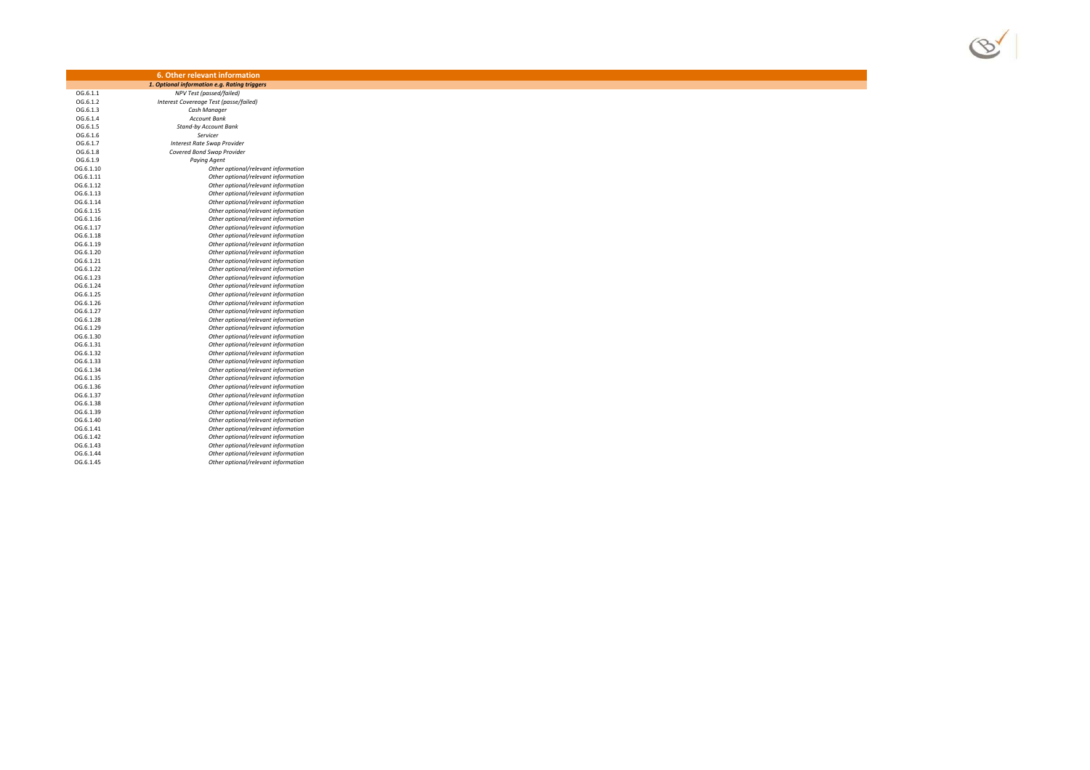

|           | 6. Other relevant information                |
|-----------|----------------------------------------------|
|           | 1. Optional information e.g. Rating triggers |
| OG.6.1.1  | NPV Test (passed/failed)                     |
| OG.6.1.2  | Interest Covereage Test (passe/failed)       |
| OG.6.1.3  | Cash Manager                                 |
| OG.6.1.4  | <b>Account Bank</b>                          |
| OG.6.1.5  | <b>Stand-by Account Bank</b>                 |
| OG.6.1.6  | Servicer                                     |
| OG.6.1.7  | <b>Interest Rate Swap Provider</b>           |
| OG.6.1.8  | Covered Bond Swap Provider                   |
| OG.6.1.9  | <b>Paying Agent</b>                          |
| OG.6.1.10 | Other optional/relevant information          |
| OG.6.1.11 | Other optional/relevant information          |
| OG.6.1.12 | Other optional/relevant information          |
| OG.6.1.13 | Other optional/relevant information          |
| OG.6.1.14 | Other optional/relevant information          |
| OG.6.1.15 | Other optional/relevant information          |
| OG.6.1.16 | Other optional/relevant information          |
| OG.6.1.17 | Other optional/relevant information          |
| OG.6.1.18 | Other optional/relevant information          |
| OG.6.1.19 | Other optional/relevant information          |
| OG.6.1.20 | Other optional/relevant information          |
| OG.6.1.21 | Other optional/relevant information          |
| OG.6.1.22 | Other optional/relevant information          |
| OG.6.1.23 | Other optional/relevant information          |
| OG.6.1.24 | Other optional/relevant information          |
| OG.6.1.25 | Other optional/relevant information          |
| OG.6.1.26 | Other optional/relevant information          |
| OG.6.1.27 | Other optional/relevant information          |
| OG.6.1.28 | Other optional/relevant information          |
| OG.6.1.29 | Other optional/relevant information          |
| OG.6.1.30 | Other optional/relevant information          |
| OG.6.1.31 | Other optional/relevant information          |
| OG.6.1.32 | Other optional/relevant information          |
| OG.6.1.33 | Other optional/relevant information          |
| OG.6.1.34 | Other optional/relevant information          |
| OG.6.1.35 | Other optional/relevant information          |
| OG.6.1.36 | Other optional/relevant information          |
| OG.6.1.37 | Other optional/relevant information          |
| OG.6.1.38 | Other optional/relevant information          |
| OG.6.1.39 | Other optional/relevant information          |
| OG.6.1.40 | Other optional/relevant information          |
| OG.6.1.41 | Other optional/relevant information          |
| OG.6.1.42 | Other optional/relevant information          |
| OG.6.1.43 | Other optional/relevant information          |
| OG.6.1.44 |                                              |
|           | Other optional/relevant information          |
| OG.6.1.45 | Other optional/relevant information          |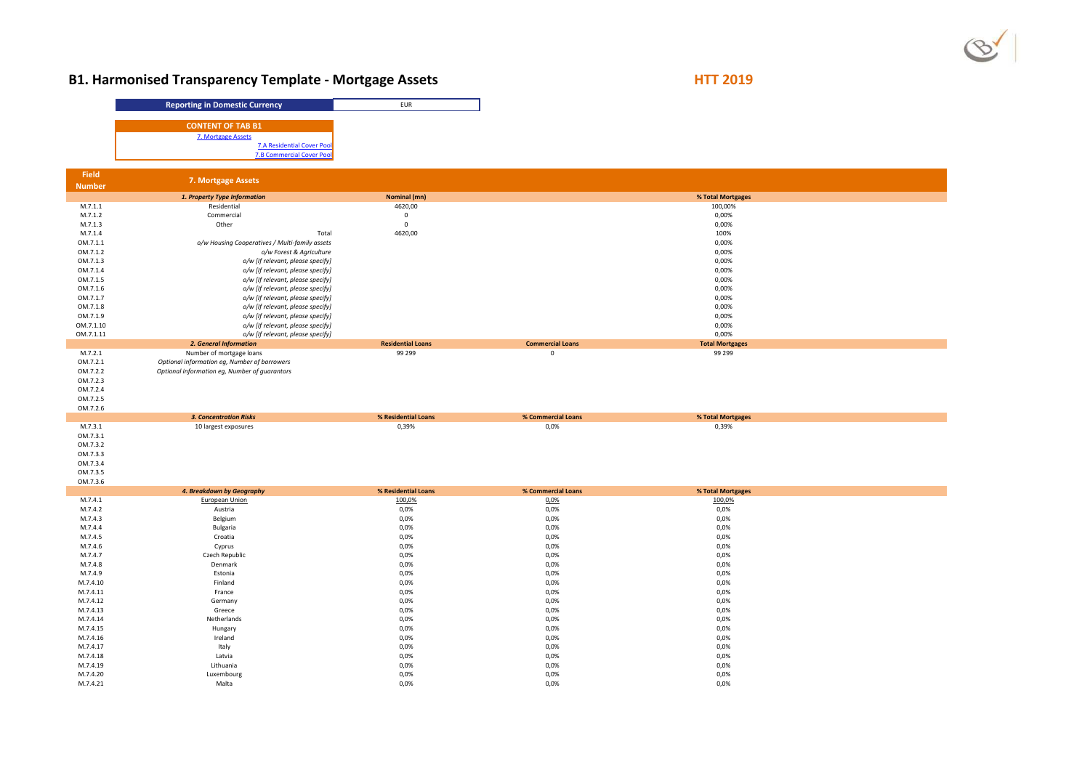

# **B1. Harmonised Transparency Template - Mortgage Assets**

**HTT 2019**

|                       | <b>Reporting in Domestic Currency</b>                                                         | EUR                          |                            |  |
|-----------------------|-----------------------------------------------------------------------------------------------|------------------------------|----------------------------|--|
|                       |                                                                                               |                              |                            |  |
|                       | <b>CONTENT OF TAB B1</b><br>7. Mortgage Assets                                                |                              |                            |  |
|                       | <b>7.A Residential Cover Pool</b>                                                             |                              |                            |  |
|                       | <b>7.B Commercial Cover Pool</b>                                                              |                              |                            |  |
| <b>Field</b>          |                                                                                               |                              |                            |  |
| <b>Number</b>         | 7. Mortgage Assets                                                                            |                              |                            |  |
|                       | 1. Property Type Information                                                                  | Nominal (mn)                 |                            |  |
| M.7.1.1<br>M.7.1.2    | Residential                                                                                   | 4620,00                      |                            |  |
| M.7.1.3               | Commercial<br>Other                                                                           | $\mathbf 0$<br>$\mathbf 0$   |                            |  |
| M.7.1.4               | Total                                                                                         | 4620,00                      |                            |  |
| OM.7.1.1              | o/w Housing Cooperatives / Multi-family assets                                                |                              |                            |  |
| OM.7.1.2              | o/w Forest & Agriculture                                                                      |                              |                            |  |
| OM.7.1.3<br>OM.7.1.4  | o/w [If relevant, please specify]<br>o/w [If relevant, please specify]                        |                              |                            |  |
| OM.7.1.5              | o/w [If relevant, please specify]                                                             |                              |                            |  |
| OM.7.1.6              | o/w [If relevant, please specify]                                                             |                              |                            |  |
| OM.7.1.7              | o/w [If relevant, please specify]                                                             |                              |                            |  |
| OM.7.1.8              | o/w [If relevant, please specify]                                                             |                              |                            |  |
| OM.7.1.9<br>OM.7.1.10 | o/w [If relevant, please specify]<br>o/w [If relevant, please specify]                        |                              |                            |  |
| OM.7.1.11             | o/w [If relevant, please specify]                                                             |                              |                            |  |
|                       | 2. General Information                                                                        | <b>Residential Loans</b>     | <b>Commercial Loans</b>    |  |
| M.7.2.1               | Number of mortgage loans                                                                      | 99 299                       | $\mathsf 0$                |  |
| OM.7.2.1<br>OM.7.2.2  | Optional information eg, Number of borrowers<br>Optional information eg, Number of guarantors |                              |                            |  |
| OM.7.2.3              |                                                                                               |                              |                            |  |
| OM.7.2.4              |                                                                                               |                              |                            |  |
|                       |                                                                                               |                              |                            |  |
| OM.7.2.5              |                                                                                               |                              |                            |  |
| OM.7.2.6              |                                                                                               |                              |                            |  |
| M.7.3.1               | <b>3. Concentration Risks</b><br>10 largest exposures                                         | % Residential Loans<br>0,39% | % Commercial Loans<br>0,0% |  |
| OM.7.3.1              |                                                                                               |                              |                            |  |
| OM.7.3.2              |                                                                                               |                              |                            |  |
| OM.7.3.3              |                                                                                               |                              |                            |  |
| OM.7.3.4              |                                                                                               |                              |                            |  |
| OM.7.3.5<br>OM.7.3.6  |                                                                                               |                              |                            |  |
|                       | 4. Breakdown by Geography                                                                     | % Residential Loans          | % Commercial Loans         |  |
| M.7.4.1               | European Union                                                                                | 100,0%                       | 0,0%                       |  |
| M.7.4.2               | Austria                                                                                       | 0,0%                         | 0,0%                       |  |
| M.7.4.3<br>M.7.4.4    | Belgium<br>Bulgaria                                                                           | 0,0%<br>0,0%                 | 0,0%<br>0,0%               |  |
| M.7.4.5               | Croatia                                                                                       | 0,0%                         | 0,0%                       |  |
| M.7.4.6               | Cyprus                                                                                        | 0,0%                         | 0,0%                       |  |
| M.7.4.7               | Czech Republic                                                                                | 0,0%                         | 0,0%                       |  |
| M.7.4.8               | Denmark                                                                                       | 0,0%                         | 0,0%                       |  |
| M.7.4.9<br>M.7.4.10   | Estonia                                                                                       | 0,0%                         | 0,0%                       |  |
| M.7.4.11              | Finland<br>France                                                                             | 0,0%<br>0,0%                 | 0,0%<br>0,0%               |  |
| M.7.4.12              | Germany                                                                                       | 0,0%                         | 0,0%                       |  |
| M.7.4.13              | Greece                                                                                        | 0,0%                         | 0,0%                       |  |
| M.7.4.14              | Netherlands                                                                                   | 0,0%                         | 0,0%                       |  |
| M.7.4.15              | Hungary                                                                                       | 0,0%                         | 0,0%                       |  |
| M.7.4.16<br>M.7.4.17  | Ireland<br>Italy                                                                              | 0,0%<br>0,0%                 | 0,0%<br>0,0%               |  |
| M.7.4.18              | Latvia                                                                                        | 0,0%                         | 0,0%                       |  |
| M.7.4.19              | Lithuania                                                                                     | 0,0%                         | 0,0%                       |  |
| M.7.4.20<br>M.7.4.21  | Luxembourg<br>Malta                                                                           | 0,0%<br>0,0%                 | 0,0%<br>0,0%               |  |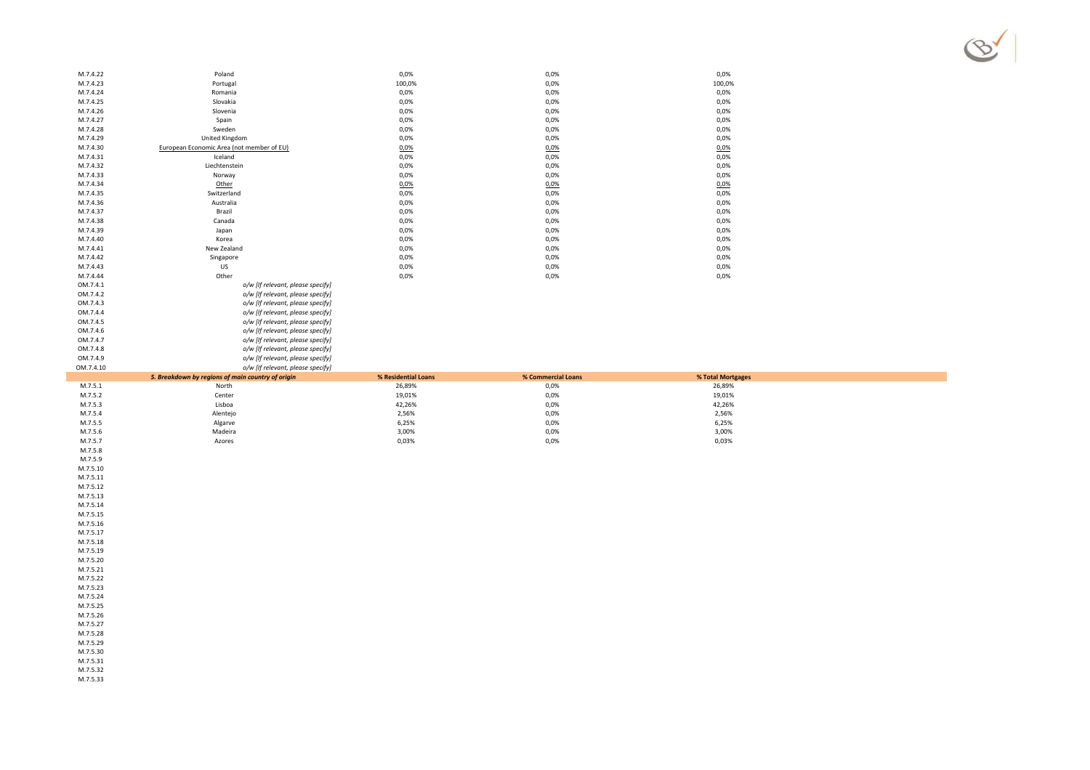

| M.7.4.22 | Poland                                    | 0,0%   | 0,0% | 0,0%   |
|----------|-------------------------------------------|--------|------|--------|
| M.7.4.23 | Portugal                                  | 100,0% | 0,0% | 100,0% |
| M.7.4.24 | Romania                                   | 0,0%   | 0,0% | 0,0%   |
| M.7.4.25 | Slovakia                                  | 0,0%   | 0,0% | 0,0%   |
| M.7.4.26 | Slovenia                                  | 0,0%   | 0,0% | 0,0%   |
| M.7.4.27 | Spain                                     | 0,0%   | 0,0% | 0,0%   |
| M.7.4.28 | Sweden                                    | 0,0%   | 0,0% | 0,0%   |
| M.7.4.29 | United Kingdom                            | 0,0%   | 0,0% | 0,0%   |
| M.7.4.30 | European Economic Area (not member of EU) | 0,0%   | 0,0% | 0,0%   |
| M.7.4.31 | Iceland                                   | 0,0%   | 0,0% | 0,0%   |
| M.7.4.32 | Liechtenstein                             | 0,0%   | 0,0% | 0,0%   |
| M.7.4.33 | Norway                                    | 0,0%   | 0,0% | 0,0%   |
| M.7.4.34 | Other                                     | 0,0%   | 0,0% | 0.0%   |
| M.7.4.35 | Switzerland                               | 0,0%   | 0,0% | 0,0%   |
| M.7.4.36 | Australia                                 | 0,0%   | 0,0% | 0,0%   |
| M.7.4.37 | Brazil                                    | 0,0%   | 0,0% | 0,0%   |
| M.7.4.38 | Canada                                    | 0,0%   | 0,0% | 0,0%   |
| M.7.4.39 | Japan                                     | 0,0%   | 0,0% | 0,0%   |
| M.7.4.40 | Korea                                     | 0,0%   | 0,0% | 0,0%   |
| M.7.4.41 | New Zealand                               | 0,0%   | 0,0% | 0,0%   |
| M.7.4.42 | Singapore                                 | 0,0%   | 0,0% | 0,0%   |
| M.7.4.43 | US                                        | 0,0%   | 0,0% | 0,0%   |
| M.7.4.44 | Other                                     | 0,0%   | 0,0% | 0,0%   |
| OM.7.4.1 | o/w [If relevant, please specify]         |        |      |        |
| OM.7.4.2 | o/w [If relevant, please specify]         |        |      |        |
| OM.7.4.3 | o/w [If relevant, please specify]         |        |      |        |
|          |                                           |        |      |        |

*o/w [If relevant, please specify]*

*o/w [If relevant, please specify]*

*o/w [If relevant, please specify]*

*o/w [If relevant, please specify]*

*o/w [If relevant, please specify]*

*o/w [If relevant, please specify]*

| OM.7.4.10 | o/w [If relevant, please specify]                 |                     |                    |                   |  |
|-----------|---------------------------------------------------|---------------------|--------------------|-------------------|--|
|           | 5. Breakdown by regions of main country of origin | % Residential Loans | % Commercial Loans | % Total Mortgages |  |
| M.7.5.1   | North                                             | 26,89%              | 0,0%               | 26,89%            |  |
| M.7.5.2   | Center                                            | 19,01%              | 0,0%               | 19,01%            |  |
| M.7.5.3   | Lisboa                                            | 42,26%              | 0,0%               | 42,26%            |  |
| M.7.5.4   | Alentejo                                          | 2,56%               | 0,0%               | 2,56%             |  |
| M.7.5.5   | Algarve                                           | 6,25%               | 0,0%               | 6,25%             |  |
| M.7.5.6   | Madeira                                           | 3,00%               | 0,0%               | 3,00%             |  |
| M.7.5.7   | Azores                                            | 0,03%               | 0,0%               | 0,03%             |  |
|           |                                                   |                     |                    |                   |  |

M.7.5.8M.7.5.9

OM.7.4.4

OM.7.4.5

OM.7.4.6

OM.7.4.7

OM.7.4.8

OM.7.4.9

 M.7.5.10M.7.5.11

 M.7.5.12M.7.5.13

M.7.5.14

 M.7.5.15M.7.5.16

 M.7.5.17M.7.5.18

M.7.5.19

 M.7.5.20M.7.5.21

 M.7.5.22M.7.5.23

M.7.5.24

 M.7.5.25M.7.5.26

 M.7.5.27M.7.5.28

M.7.5.29

M.7.5.30

M.7.5.31

 M.7.5.32M.7.5.33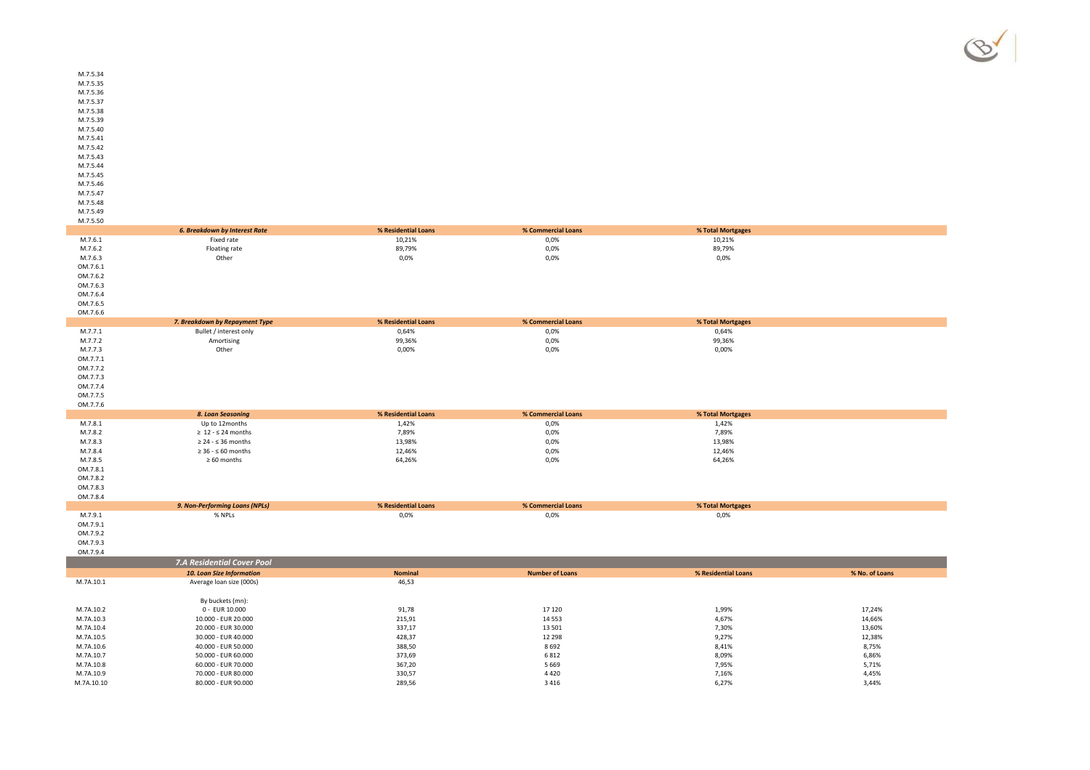M.7.5.41 M.7.5.42 M.7.5.43 M.7.5.44 M.7.5.45M.7.5.46

M.7.5.34 M.7.5.35 M.7.5.36 M.7.5.37 M.7.5.38 M.7.5.39M.7.5.40

M.7.5.47 M.7.5.48

M.7.5.49

| M.7.5.50   |                                      |                     |                        |                     |                |
|------------|--------------------------------------|---------------------|------------------------|---------------------|----------------|
|            | <b>6. Breakdown by Interest Rate</b> | % Residential Loans | % Commercial Loans     | % Total Mortgages   |                |
| M.7.6.1    | Fixed rate                           | 10,21%              | 0,0%                   | 10,21%              |                |
| M.7.6.2    | Floating rate                        | 89,79%              | 0,0%                   | 89,79%              |                |
| M.7.6.3    | Other                                | 0,0%                | 0,0%                   | 0,0%                |                |
| OM.7.6.1   |                                      |                     |                        |                     |                |
| OM.7.6.2   |                                      |                     |                        |                     |                |
| OM.7.6.3   |                                      |                     |                        |                     |                |
| OM.7.6.4   |                                      |                     |                        |                     |                |
| OM.7.6.5   |                                      |                     |                        |                     |                |
| OM.7.6.6   |                                      |                     |                        |                     |                |
|            | 7. Breakdown by Repayment Type       | % Residential Loans | % Commercial Loans     | % Total Mortgages   |                |
| M.7.7.1    | Bullet / interest only               | 0,64%               | 0,0%                   | 0,64%               |                |
| M.7.7.2    | Amortising                           | 99,36%              | 0,0%                   | 99,36%              |                |
| M.7.7.3    | Other                                | 0,00%               | 0,0%                   | 0,00%               |                |
| OM.7.7.1   |                                      |                     |                        |                     |                |
| OM.7.7.2   |                                      |                     |                        |                     |                |
| OM.7.7.3   |                                      |                     |                        |                     |                |
| OM.7.7.4   |                                      |                     |                        |                     |                |
| OM.7.7.5   |                                      |                     |                        |                     |                |
| OM.7.7.6   |                                      |                     |                        |                     |                |
|            | 8. Loan Seasoning                    | % Residential Loans | % Commercial Loans     | % Total Mortgages   |                |
| M.7.8.1    | Up to 12months                       | 1,42%               | 0,0%                   | 1,42%               |                |
| M.7.8.2    | $\geq 12 - 524$ months               | 7,89%               | 0,0%                   | 7,89%               |                |
| M.7.8.3    | $\geq 24 - 536$ months               | 13,98%              | 0,0%                   | 13,98%              |                |
| M.7.8.4    | $\geq 36 - 50$ months                | 12,46%              | 0,0%                   | 12,46%              |                |
| M.7.8.5    | $\geq 60$ months                     | 64,26%              | 0,0%                   | 64,26%              |                |
| OM.7.8.1   |                                      |                     |                        |                     |                |
| OM.7.8.2   |                                      |                     |                        |                     |                |
| OM.7.8.3   |                                      |                     |                        |                     |                |
| OM.7.8.4   |                                      |                     |                        |                     |                |
|            | 9. Non-Performing Loans (NPLs)       | % Residential Loans | % Commercial Loans     | % Total Mortgages   |                |
| M.7.9.1    | % NPLs                               | 0,0%                | 0,0%                   | 0,0%                |                |
| OM.7.9.1   |                                      |                     |                        |                     |                |
| OM.7.9.2   |                                      |                     |                        |                     |                |
| OM.7.9.3   |                                      |                     |                        |                     |                |
| OM.7.9.4   |                                      |                     |                        |                     |                |
|            | 7.A Residential Cover Pool           |                     |                        |                     |                |
|            | <b>10. Loan Size Information</b>     | <b>Nominal</b>      | <b>Number of Loans</b> | % Residential Loans | % No. of Loans |
| M.7A.10.1  | Average loan size (000s)             | 46,53               |                        |                     |                |
|            |                                      |                     |                        |                     |                |
|            | By buckets (mn):                     |                     |                        |                     |                |
| M.7A.10.2  | 0 - EUR 10.000                       | 91,78               | 17 120                 | 1,99%               | 17,24%         |
| M.7A.10.3  | 10.000 - EUR 20.000                  | 215,91              | 14 5 53                | 4,67%               | 14,66%         |
| M.7A.10.4  | 20.000 - EUR 30.000                  | 337,17              | 13 501                 | 7,30%               | 13,60%         |
| M.7A.10.5  | 30.000 - EUR 40.000                  | 428,37              | 12 2 9 8               | 9,27%               | 12,38%         |
| M.7A.10.6  | 40.000 - EUR 50.000                  | 388,50              | 8692                   | 8,41%               | 8,75%          |
| M.7A.10.7  | 50.000 - EUR 60.000                  | 373,69              | 6812                   | 8,09%               | 6,86%          |
| M.7A.10.8  | 60.000 - EUR 70.000                  | 367,20              | 5 6 6 9                | 7,95%               | 5,71%          |
| M.7A.10.9  | 70.000 - EUR 80.000                  | 330,57              | 4420                   | 7,16%               | 4,45%          |
| M.7A.10.10 | 80.000 - EUR 90.000                  | 289,56              | 3 4 1 6                | 6,27%               | 3,44%          |
|            |                                      |                     |                        |                     |                |

 $\%$  3,44%

R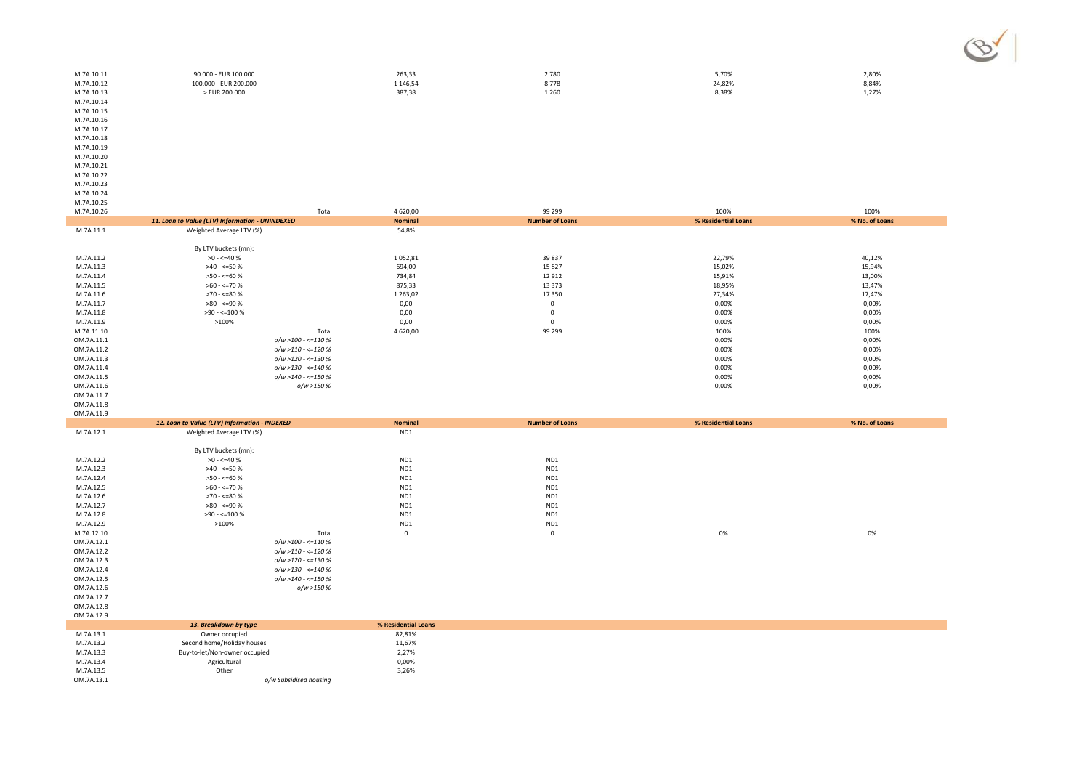| M.7A.10.11 | 90.000 - EUR 100.000       | 263,33   | 2780    | 5,70%  | 2,80% |
|------------|----------------------------|----------|---------|--------|-------|
| M.7A.10.12 | $-$ EUR 200,000<br>100.000 | 1 146.54 | 8778    | 24,82% | 8.84% |
| M.7A.10.13 | EUR 200.000                | 387,38   | 1 2 6 0 | 8,38%  | 1,27% |
| .          |                            |          |         |        |       |

M.7A.10.14 M.7A.10.15 M.7A.10.16 M.7A.10.17 M.7A.10.18 M.7A.10.19 M.7A.10.20 M.7A.10.21 M.7A.10.22 M.7A.10.23M.7A.10.24 M.7A.10.25

| . <i>. .</i><br>M.7A.10.26 | Total                                           | 4620,00             | 99 299                 | 100%                | 100%           |
|----------------------------|-------------------------------------------------|---------------------|------------------------|---------------------|----------------|
|                            | 11. Loan to Value (LTV) Information - UNINDEXED | <b>Nominal</b>      | <b>Number of Loans</b> | % Residential Loans | % No. of Loans |
| M.7A.11.1                  | Weighted Average LTV (%)                        | 54,8%               |                        |                     |                |
|                            |                                                 |                     |                        |                     |                |
|                            | By LTV buckets (mn):                            |                     |                        |                     |                |
| M.7A.11.2                  | $>0 - 540$ %                                    | 1052,81             | 39837                  | 22,79%              | 40,12%         |
| M.7A.11.3                  | $>40 - 50%$                                     | 694,00              | 15827                  | 15,02%              | 15,94%         |
| M.7A.11.4                  | $>50 - 50$                                      | 734,84              | 12912                  | 15,91%              | 13,00%         |
| M.7A.11.5                  | $>60 - \le 70$ %                                | 875,33              | 13 3 7 3               | 18,95%              | 13,47%         |
| M.7A.11.6                  | $>70 - 50$                                      | 1 2 6 3 , 0 2       | 17350                  | 27,34%              | 17,47%         |
| M.7A.11.7                  | $>80 - 590$                                     | 0,00                | $\mathsf 0$            | 0,00%               | 0,00%          |
| M.7A.11.8                  | $>90 - \le 100 %$                               | 0,00                | $\mathbf 0$            | 0,00%               | 0,00%          |
| M.7A.11.9                  | >100%                                           | 0,00                | $\mathbf 0$            | 0,00%               | 0,00%          |
| M.7A.11.10                 | Total                                           | 4620,00             | 99 299                 | 100%                | 100%           |
| OM.7A.11.1                 | $o/w > 100 - \le 110\%$                         |                     |                        | 0,00%               | 0,00%          |
| OM.7A.11.2                 | $o/w > 110 - \le 120\%$                         |                     |                        | 0,00%               | 0,00%          |
| OM.7A.11.3                 | $o/w > 120 - \le 130\%$                         |                     |                        | 0,00%               | 0,00%          |
| OM.7A.11.4                 | $o/w > 130 - \le 140\%$                         |                     |                        | 0,00%               | 0,00%          |
| OM.7A.11.5                 | $o/w > 140 - \le 150\%$                         |                     |                        | 0,00%               | 0,00%          |
| OM.7A.11.6                 | o/w >150 %                                      |                     |                        | 0,00%               | 0,00%          |
| OM.7A.11.7                 |                                                 |                     |                        |                     |                |
| OM.7A.11.8                 |                                                 |                     |                        |                     |                |
| OM.7A.11.9                 |                                                 |                     |                        |                     |                |
|                            | 12. Loan to Value (LTV) Information - INDEXED   | <b>Nominal</b>      | <b>Number of Loans</b> | % Residential Loans | % No. of Loans |
| M.7A.12.1                  | Weighted Average LTV (%)                        | ND1                 |                        |                     |                |
|                            |                                                 |                     |                        |                     |                |
|                            | By LTV buckets (mn):                            |                     |                        |                     |                |
| M.7A.12.2                  | $>0 - \le 40$ %                                 | ND1                 | ND1                    |                     |                |
| M.7A.12.3                  | $>40 - 50%$                                     | ND1                 | ND1                    |                     |                |
| M.7A.12.4                  | $>50 - 50$<br>$>60 - \le 70$ %                  | ND1                 | ND1                    |                     |                |
| M.7A.12.5<br>M.7A.12.6     | $>70 - 50$                                      | ND1<br>ND1          | ND1<br>ND1             |                     |                |
| M.7A.12.7                  | $>80 - 590$                                     | ND1                 | ND1                    |                     |                |
| M.7A.12.8                  | $>90 - 5100 %$                                  | ND1                 | ND1                    |                     |                |
| M.7A.12.9                  | >100%                                           | ND1                 | ND1                    |                     |                |
| M.7A.12.10                 | Total                                           | 0                   | $\mathbf 0$            | 0%                  | 0%             |
| OM.7A.12.1                 | $o/w > 100 - \le 110\%$                         |                     |                        |                     |                |
| OM.7A.12.2                 | $o/w > 110 - \le 120\%$                         |                     |                        |                     |                |
| OM.7A.12.3                 | $o/w > 120 - \le 130\%$                         |                     |                        |                     |                |
| OM.7A.12.4                 | $o/w > 130 - \le 140\%$                         |                     |                        |                     |                |
| OM.7A.12.5                 | $o/w > 140 - \le 150\%$                         |                     |                        |                     |                |
| OM.7A.12.6                 | o/w >150 %                                      |                     |                        |                     |                |
| OM.7A.12.7                 |                                                 |                     |                        |                     |                |
| OM.7A.12.8                 |                                                 |                     |                        |                     |                |
| OM.7A.12.9                 |                                                 |                     |                        |                     |                |
|                            | 13. Breakdown by type                           | % Residential Loans |                        |                     |                |
| M.7A.13.1                  | Owner occupied                                  | 82,81%              |                        |                     |                |
| M.7A.13.2                  | Second home/Holiday houses                      | 11,67%              |                        |                     |                |
| M.7A.13.3                  | Buy-to-let/Non-owner occupied                   | 2,27%               |                        |                     |                |
| M.7A.13.4                  | Agricultural                                    | 0,00%               |                        |                     |                |
| M.7A.13.5                  | Other                                           | 3,26%               |                        |                     |                |
| OM.7A.13.1                 | o/w Subsidised housing                          |                     |                        |                     |                |

*o/w Subsidised housing*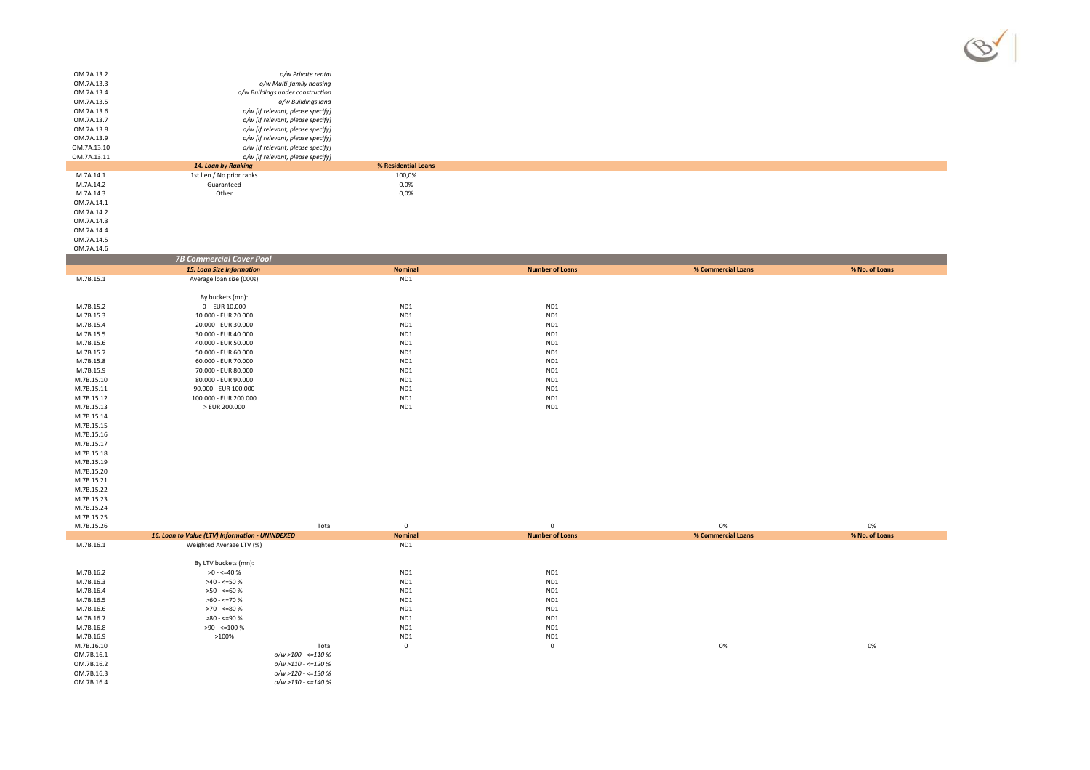

 $\%$  0%

| OM.7A.13.2  | o/w Private rental                |               |
|-------------|-----------------------------------|---------------|
| OM.7A.13.3  | o/w Multi-family housing          |               |
| OM.7A.13.4  | o/w Buildings under construction  |               |
| OM.7A.13.5  | o/w Buildings land                |               |
| OM.7A.13.6  | o/w [If relevant, please specify] |               |
| OM.7A.13.7  | o/w [If relevant, please specify] |               |
| OM.7A.13.8  | o/w [If relevant, please specify] |               |
| OM.7A.13.9  | o/w [If relevant, please specify] |               |
| OM.7A.13.10 | o/w [If relevant, please specify] |               |
| OM.7A.13.11 | o/w [If relevant, please specify] |               |
|             | 14. Loan by Ranking               | % Residential |
| M.7A.14.1   | 1st lien / No prior ranks         | 100.0%        |
|             |                                   |               |

M.7A.14.2 Guaranteed<br>M.7A.14.3 Guaranteed<br>M.7A.14.3 Other M.7A.14.3 **Other COMBINE ON STATE OF A CONSUMING ON STATE OF A CONSUMING ON STATE OF A CONSUMING ON STATE OF A** OM.7A.14.1 OM.7A.14.2OM.7A.14.3 OM.7A.14.4 OM.7A.14.5

OM.7A.14.6

M.7B.16.10

|            | <b>7B Commercial Cover Pool</b>                 |                      |                        |                    |                |
|------------|-------------------------------------------------|----------------------|------------------------|--------------------|----------------|
|            | <b>15. Loan Size Information</b>                | <b>Nominal</b>       | <b>Number of Loans</b> | % Commercial Loans | % No. of Loans |
| M.7B.15.1  | Average loan size (000s)                        | ND1                  |                        |                    |                |
|            |                                                 |                      |                        |                    |                |
|            | By buckets (mn):                                |                      |                        |                    |                |
| M.7B.15.2  | 0 - EUR 10.000                                  | ND1                  | ND1                    |                    |                |
| M.7B.15.3  | 10.000 - EUR 20.000                             | ND1                  | ND1                    |                    |                |
| M.7B.15.4  | 20.000 - EUR 30.000                             | ND1                  | ND1                    |                    |                |
| M.7B.15.5  | 30.000 - EUR 40.000                             | ND1                  | ND1                    |                    |                |
| M.7B.15.6  | 40.000 - EUR 50.000                             | ND1                  | ND1                    |                    |                |
| M.7B.15.7  | 50.000 - EUR 60.000                             | ND1                  | ND1                    |                    |                |
| M.7B.15.8  | 60.000 - EUR 70.000                             | ND1                  | ND1                    |                    |                |
| M.7B.15.9  | 70.000 - EUR 80.000                             | ND1                  | ND1                    |                    |                |
| M.7B.15.10 | 80.000 - EUR 90.000                             | ND1                  | ND1                    |                    |                |
| M.7B.15.11 | 90.000 - EUR 100.000                            | ND1                  | ND1                    |                    |                |
| M.7B.15.12 | 100.000 - EUR 200.000                           | ND1                  | ND1                    |                    |                |
| M.7B.15.13 | > EUR 200.000                                   | ND1                  | ND1                    |                    |                |
| M.7B.15.14 |                                                 |                      |                        |                    |                |
| M.7B.15.15 |                                                 |                      |                        |                    |                |
| M.7B.15.16 |                                                 |                      |                        |                    |                |
| M.7B.15.17 |                                                 |                      |                        |                    |                |
| M.7B.15.18 |                                                 |                      |                        |                    |                |
| M.7B.15.19 |                                                 |                      |                        |                    |                |
| M.7B.15.20 |                                                 |                      |                        |                    |                |
| M.7B.15.21 |                                                 |                      |                        |                    |                |
| M.7B.15.22 |                                                 |                      |                        |                    |                |
| M.7B.15.23 |                                                 |                      |                        |                    |                |
| M.7B.15.24 |                                                 |                      |                        |                    |                |
| M.7B.15.25 |                                                 |                      |                        |                    |                |
| M.7B.15.26 |                                                 | Total<br>$\mathbf 0$ | $\mathsf 0$            | 0%                 | 0%             |
|            | 16. Loan to Value (LTV) Information - UNINDEXED | <b>Nominal</b>       | <b>Number of Loans</b> | % Commercial Loans | % No. of Loans |
| M.7B.16.1  | Weighted Average LTV (%)                        | ND1                  |                        |                    |                |
|            |                                                 |                      |                        |                    |                |
|            | By LTV buckets (mn):                            |                      |                        |                    |                |
| M.7B.16.2  | $>0 - 540%$                                     | ND1                  | ND1                    |                    |                |
| M.7B.16.3  | $>40 - 50%$                                     | ND1                  | ND1                    |                    |                |
| M.7B.16.4  | $>50 - 50$                                      | ND1                  | ND1                    |                    |                |
| M.7B.16.5  | $>60 - \le 70 \%$                               | ND1                  | ND1                    |                    |                |
| M.7B.16.6  | >70 - <=80 %                                    | ND1                  | ND1                    |                    |                |
| M.7B.16.7  | $>80 - 590$                                     | ND1                  | ND1                    |                    |                |
| M.7B.16.8  | $>90 - 5100 %$                                  | ND1                  | ND1                    |                    |                |
| M.7B.16.9  | >100%                                           | ND1                  | ND1                    |                    |                |

 **% Residential Loans**  $0,0\%$ 

 $0,0%$ 

Total <sup>0</sup> <sup>0</sup> 0%

 $0.0\%$ 

OM.7B.16.1<br>OM.7B.16.2 *o/w >100 - <=110 % o/w >110 - <=120 %*OM.7B.16.3

 *o/w >120 - <=130 % o/w >130 - <=140 %*OM.7B.16.4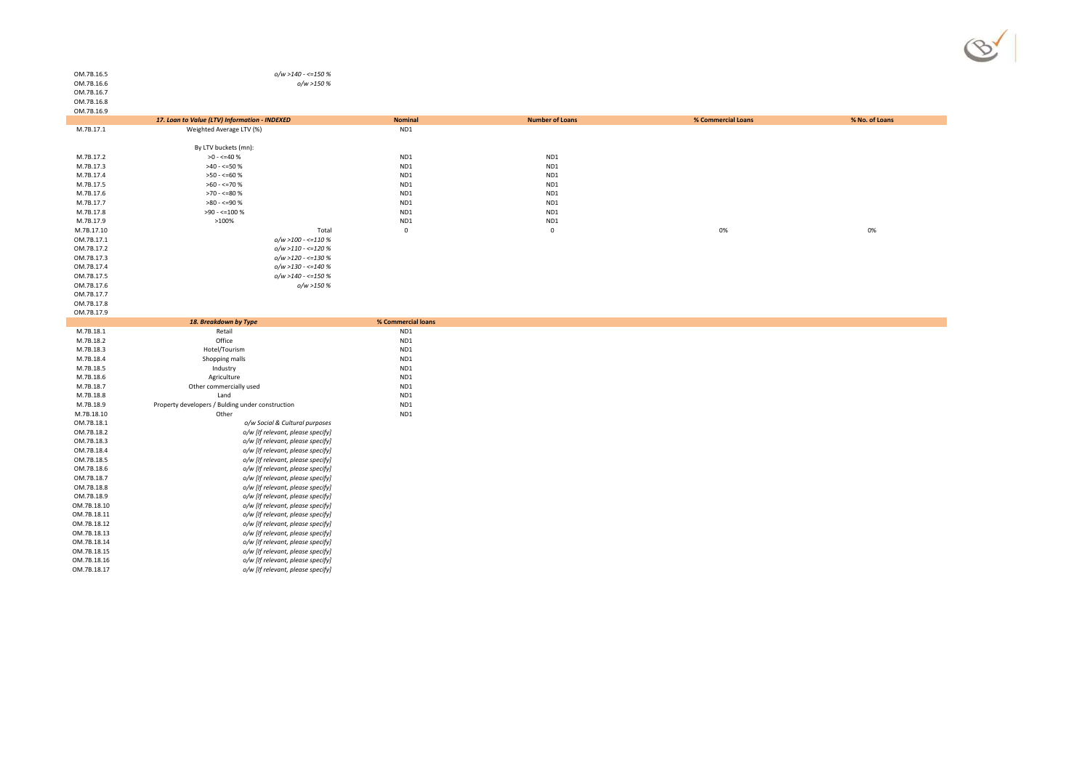

#### *o/w >140 - <=150 %o/w >150 %*

OM.7B.16.5OM.7B.16.6OM.7B.16.7OM.7B.16.8

| OM.7B.16.9               |                                                                        |                    |                        |                    |                |
|--------------------------|------------------------------------------------------------------------|--------------------|------------------------|--------------------|----------------|
|                          | 17. Loan to Value (LTV) Information - INDEXED                          | <b>Nominal</b>     | <b>Number of Loans</b> | % Commercial Loans | % No. of Loans |
| M.7B.17.1                | Weighted Average LTV (%)                                               | ND1                |                        |                    |                |
|                          |                                                                        |                    |                        |                    |                |
|                          | By LTV buckets (mn):                                                   |                    |                        |                    |                |
| M.7B.17.2                | $>0 - \le 40$ %                                                        | ND1                | ND1                    |                    |                |
| M.7B.17.3                | $>40 - 50%$                                                            | ND1                | ND1                    |                    |                |
| M.7B.17.4                | $>50 - 50$                                                             | ND1                | ND1                    |                    |                |
| M.7B.17.5                | $>60 - \le 70$ %                                                       | ND1                | ND1                    |                    |                |
| M.7B.17.6                | $>70 - 50$                                                             | ND1                | ND1                    |                    |                |
| M.7B.17.7                | $>80 - 590$                                                            | ND1                | ND1                    |                    |                |
| M.7B.17.8                | $>90 - \le 100 %$                                                      | ND1                | ND1                    |                    |                |
| M.7B.17.9                | >100%                                                                  | ND1                | ND1                    |                    |                |
| M.7B.17.10               | Total                                                                  | $\mathbf 0$        | $\mathbf 0$            | 0%                 | 0%             |
| OM.7B.17.1               | $o/w > 100 - \le 110\%$                                                |                    |                        |                    |                |
| OM.7B.17.2               | $o/w > 110 - \le 120\%$                                                |                    |                        |                    |                |
| OM.7B.17.3               | $o/w > 120 - \le 130%$                                                 |                    |                        |                    |                |
| OM.7B.17.4               | $o/w > 130 - \le 140\%$                                                |                    |                        |                    |                |
| OM.7B.17.5               | $o/w > 140 - \leq 150%$                                                |                    |                        |                    |                |
| OM.7B.17.6               | o/w >150 %                                                             |                    |                        |                    |                |
| OM.7B.17.7               |                                                                        |                    |                        |                    |                |
| OM.7B.17.8               |                                                                        |                    |                        |                    |                |
| OM.7B.17.9               |                                                                        |                    |                        |                    |                |
|                          | 18. Breakdown by Type                                                  | % Commercial loans |                        |                    |                |
| M.7B.18.1                | Retail                                                                 | ND1                |                        |                    |                |
| M.7B.18.2                | Office                                                                 | ND1                |                        |                    |                |
| M.7B.18.3                | Hotel/Tourism                                                          | ND1                |                        |                    |                |
| M.7B.18.4                | Shopping malls                                                         | ND1                |                        |                    |                |
| M.7B.18.5                | Industry                                                               | ND1                |                        |                    |                |
| M.7B.18.6                | Agriculture                                                            | ND1                |                        |                    |                |
| M.7B.18.7                | Other commercially used                                                | ND1                |                        |                    |                |
| M.7B.18.8                | Land                                                                   | ND1                |                        |                    |                |
| M.7B.18.9                | Property developers / Bulding under construction                       | ND1                |                        |                    |                |
| M.7B.18.10               | Other                                                                  | ND1                |                        |                    |                |
| OM.7B.18.1               | o/w Social & Cultural purposes                                         |                    |                        |                    |                |
| OM.7B.18.2               |                                                                        |                    |                        |                    |                |
|                          | o/w [If relevant, please specify]<br>o/w [If relevant, please specify] |                    |                        |                    |                |
| OM.7B.18.3               |                                                                        |                    |                        |                    |                |
| OM.7B.18.4               | o/w [If relevant, please specify]<br>o/w [If relevant, please specify] |                    |                        |                    |                |
| OM.7B.18.5<br>OM.7B.18.6 |                                                                        |                    |                        |                    |                |
|                          | o/w [If relevant, please specify]                                      |                    |                        |                    |                |
| OM.7B.18.7               | o/w [If relevant, please specify]                                      |                    |                        |                    |                |
| OM.7B.18.8               | o/w [If relevant, please specify]                                      |                    |                        |                    |                |
| OM.7B.18.9               | o/w [If relevant, please specify]                                      |                    |                        |                    |                |
| OM.7B.18.10              | o/w [If relevant, please specify]                                      |                    |                        |                    |                |
| OM.7B.18.11              | o/w [If relevant, please specify]                                      |                    |                        |                    |                |
| OM.7B.18.12              | o/w [If relevant, please specify]                                      |                    |                        |                    |                |
| OM.7B.18.13              | o/w [If relevant, please specify]                                      |                    |                        |                    |                |
| OM.7B.18.14              | o/w [If relevant, please specify]                                      |                    |                        |                    |                |
| OM.7B.18.15              | o/w [If relevant, please specify]                                      |                    |                        |                    |                |
| OM.7B.18.16              | o/w [If relevant, please specify]                                      |                    |                        |                    |                |
| OM.7B.18.17              | o/w [If relevant, please specify]                                      |                    |                        |                    |                |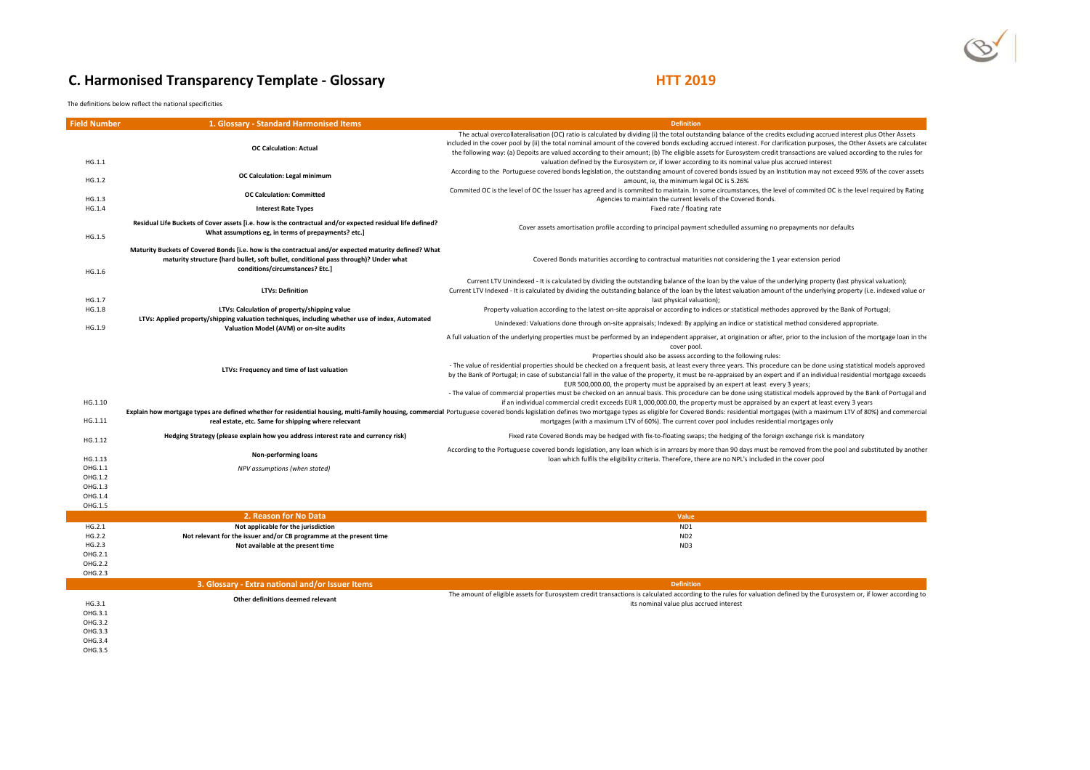# **C. Harmonised Transparency Template - Glossary**

## **HTT 2019**

The definitions below reflect the national specificities

| <b>Field Number</b> | 1. Glossary - Standard Harmonised Items                                                                                                                                                                                         | <b>Definition</b>                                                                                                                                                                                                                                                                                                                                                                                                                                                                                                                                                                                                                                                                    |
|---------------------|---------------------------------------------------------------------------------------------------------------------------------------------------------------------------------------------------------------------------------|--------------------------------------------------------------------------------------------------------------------------------------------------------------------------------------------------------------------------------------------------------------------------------------------------------------------------------------------------------------------------------------------------------------------------------------------------------------------------------------------------------------------------------------------------------------------------------------------------------------------------------------------------------------------------------------|
|                     | <b>OC Calculation: Actual</b>                                                                                                                                                                                                   | The actual overcollateralisation (OC) ratio is calculated by dividing (i) the total outstanding balance of the credits excluding accrued interest plus Other Assets<br>included in the cover pool by (ii) the total nominal amount of the covered bonds excluding accrued interest. For clarification purposes, the Other Assets are calculated<br>the following way: (a) Depoits are valued according to their amount; (b) The eligible assets for Eurosystem credit transactions are valued according to the rules for                                                                                                                                                             |
| HG.1.1<br>HG.1.2    | OC Calculation: Legal minimum                                                                                                                                                                                                   | valuation defined by the Eurosystem or, if lower according to its nominal value plus accrued interest<br>According to the Portuguese covered bonds legislation, the outstanding amount of covered bonds issued by an Institution may not exceed 95% of the cover assets<br>amount, ie, the minimum legal OC is 5.26%                                                                                                                                                                                                                                                                                                                                                                 |
| HG.1.3              | <b>OC Calculation: Committed</b>                                                                                                                                                                                                | Commited OC is the level of OC the Issuer has agreed and is commited to maintain. In some circumstances, the level of commited OC is the level required by Rating<br>Agencies to maintain the current levels of the Covered Bonds.                                                                                                                                                                                                                                                                                                                                                                                                                                                   |
| HG.1.4              | <b>Interest Rate Types</b>                                                                                                                                                                                                      | Fixed rate / floating rate                                                                                                                                                                                                                                                                                                                                                                                                                                                                                                                                                                                                                                                           |
| HG.1.5              | Residual Life Buckets of Cover assets [i.e. how is the contractual and/or expected residual life defined?<br>What assumptions eg, in terms of prepayments? etc.]                                                                | Cover assets amortisation profile according to principal payment schedulled assuming no prepayments nor defaults                                                                                                                                                                                                                                                                                                                                                                                                                                                                                                                                                                     |
| HG.1.6              | Maturity Buckets of Covered Bonds [i.e. how is the contractual and/or expected maturity defined? What<br>maturity structure (hard bullet, soft bullet, conditional pass through)? Under what<br>conditions/circumstances? Etc.] | Covered Bonds maturities according to contractual maturities not considering the 1 year extension period                                                                                                                                                                                                                                                                                                                                                                                                                                                                                                                                                                             |
| HG.1.7              | <b>LTVs: Definition</b>                                                                                                                                                                                                         | Current LTV Unindexed - It is calculated by dividing the outstanding balance of the loan by the value of the underlying property (last physical valuation);<br>Current LTV Indexed - It is calculated by dividing the outstanding balance of the loan by the latest valuation amount of the underlying property (i.e. indexed value or<br>last physical valuation);                                                                                                                                                                                                                                                                                                                  |
| HG.1.8              | LTVs: Calculation of property/shipping value                                                                                                                                                                                    | Property valuation according to the latest on-site appraisal or according to indices or statistical methodes approved by the Bank of Portugal;                                                                                                                                                                                                                                                                                                                                                                                                                                                                                                                                       |
| HG.1.9              | LTVs: Applied property/shipping valuation techniques, including whether use of index, Automated<br>Valuation Model (AVM) or on-site audits                                                                                      | Unindexed: Valuations done through on-site appraisals; Indexed: By applying an indice or statistical method considered appropriate.                                                                                                                                                                                                                                                                                                                                                                                                                                                                                                                                                  |
|                     |                                                                                                                                                                                                                                 | A full valuation of the underlying properties must be performed by an independent appraiser, at origination or after, prior to the inclusion of the mortgage loan in the<br>cover pool.                                                                                                                                                                                                                                                                                                                                                                                                                                                                                              |
|                     | LTVs: Frequency and time of last valuation                                                                                                                                                                                      | Properties should also be assess according to the following rules:<br>- The value of residential properties should be checked on a frequent basis, at least every three years. This procedure can be done using statistical models approved<br>by the Bank of Portugal; in case of substancial fall in the value of the property, it must be re-appraised by an expert and if an individual residential mortgage exceeds<br>EUR 500,000.00, the property must be appraised by an expert at least every 3 years;<br>- The value of commercial properties must be checked on an annual basis. This procedure can be done using statistical models approved by the Bank of Portugal and |
| HG.1.10<br>HG.1.11  | real estate, etc. Same for shipping where relecvant                                                                                                                                                                             | if an individual commercial credit exceeds EUR 1,000,000.00, the property must be appraised by an expert at least every 3 years<br>Explain how mortgage types are defined whether for residential housing, multi-family housing, commercial Portuguese covered bonds legislation defines two mortgage types as eligible for Covered Bonds: residential mortgages<br>mortgages (with a maximum LTV of 60%). The current cover pool includes residential mortgages only                                                                                                                                                                                                                |
| HG.1.12             | Hedging Strategy (please explain how you address interest rate and currency risk)                                                                                                                                               | Fixed rate Covered Bonds may be hedged with fix-to-floating swaps; the hedging of the foreign exchange risk is mandatory                                                                                                                                                                                                                                                                                                                                                                                                                                                                                                                                                             |
|                     | Non-performing loans                                                                                                                                                                                                            | According to the Portuguese covered bonds legislation, any loan which is in arrears by more than 90 days must be removed from the pool and substituted by another                                                                                                                                                                                                                                                                                                                                                                                                                                                                                                                    |
| HG.1.13<br>OHG.1.1  | NPV assumptions (when stated)                                                                                                                                                                                                   | loan which fulfils the eligibility criteria. Therefore, there are no NPL's included in the cover pool                                                                                                                                                                                                                                                                                                                                                                                                                                                                                                                                                                                |
| OHG.1.2             |                                                                                                                                                                                                                                 |                                                                                                                                                                                                                                                                                                                                                                                                                                                                                                                                                                                                                                                                                      |
| OHG.1.3             |                                                                                                                                                                                                                                 |                                                                                                                                                                                                                                                                                                                                                                                                                                                                                                                                                                                                                                                                                      |
| OHG.1.4             |                                                                                                                                                                                                                                 |                                                                                                                                                                                                                                                                                                                                                                                                                                                                                                                                                                                                                                                                                      |
| OHG.1.5             | 2. Reason for No Data                                                                                                                                                                                                           | Value                                                                                                                                                                                                                                                                                                                                                                                                                                                                                                                                                                                                                                                                                |
| HG.2.1              | Not applicable for the jurisdiction                                                                                                                                                                                             | ND1                                                                                                                                                                                                                                                                                                                                                                                                                                                                                                                                                                                                                                                                                  |
| HG.2.2              | Not relevant for the issuer and/or CB programme at the present time                                                                                                                                                             | ND <sub>2</sub>                                                                                                                                                                                                                                                                                                                                                                                                                                                                                                                                                                                                                                                                      |
| HG.2.3              | Not available at the present time                                                                                                                                                                                               | ND3                                                                                                                                                                                                                                                                                                                                                                                                                                                                                                                                                                                                                                                                                  |
| OHG.2.1             |                                                                                                                                                                                                                                 |                                                                                                                                                                                                                                                                                                                                                                                                                                                                                                                                                                                                                                                                                      |
| OHG.2.2<br>OHG.2.3  |                                                                                                                                                                                                                                 |                                                                                                                                                                                                                                                                                                                                                                                                                                                                                                                                                                                                                                                                                      |
|                     | 3. Glossary - Extra national and/or Issuer Items                                                                                                                                                                                | <b>Definition</b>                                                                                                                                                                                                                                                                                                                                                                                                                                                                                                                                                                                                                                                                    |
|                     |                                                                                                                                                                                                                                 | The amount of eligible assets for Eurosystem credit transactions is calculated according to the rules for valuation defined by the Eurosystem or, if lower according to                                                                                                                                                                                                                                                                                                                                                                                                                                                                                                              |
| HG.3.1              | Other definitions deemed relevant                                                                                                                                                                                               | its nominal value plus accrued interest                                                                                                                                                                                                                                                                                                                                                                                                                                                                                                                                                                                                                                              |
| OHG.3.1             |                                                                                                                                                                                                                                 |                                                                                                                                                                                                                                                                                                                                                                                                                                                                                                                                                                                                                                                                                      |
| OHG.3.2<br>OHG.3.3  |                                                                                                                                                                                                                                 |                                                                                                                                                                                                                                                                                                                                                                                                                                                                                                                                                                                                                                                                                      |
|                     |                                                                                                                                                                                                                                 |                                                                                                                                                                                                                                                                                                                                                                                                                                                                                                                                                                                                                                                                                      |

- OHG.3.4
- OHG.3.5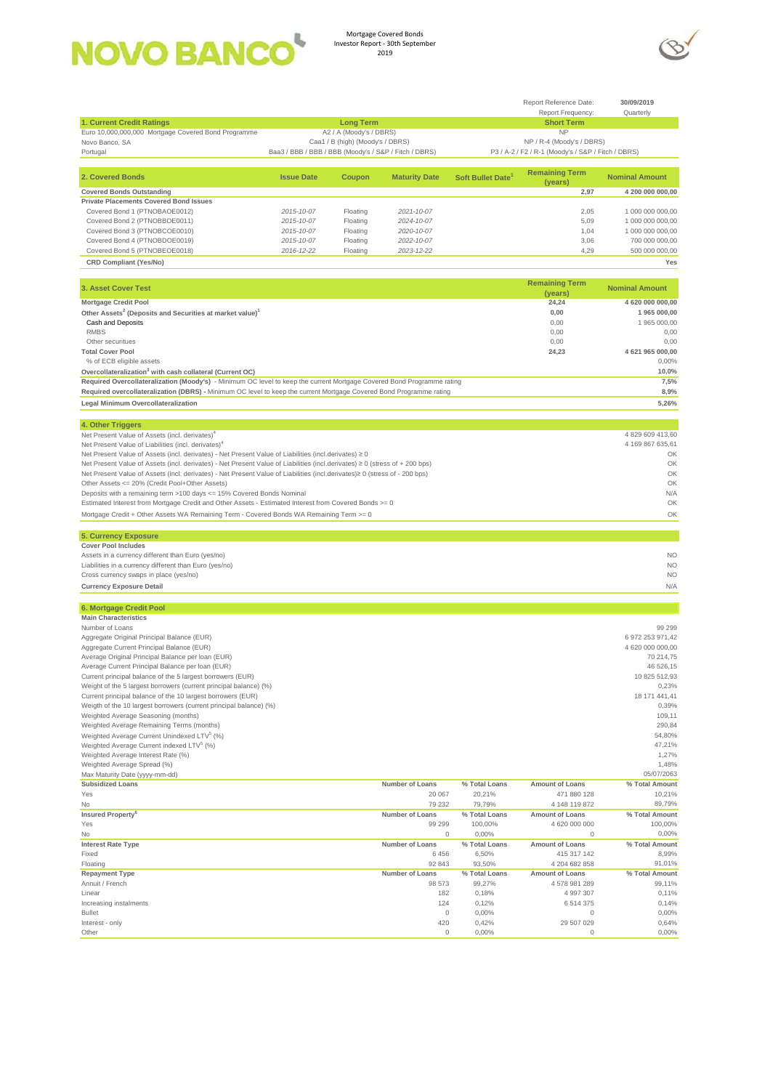



|                                                                                                                             |                                                       |                                  |                          |                        | Report Reference Date:                             | 30/09/2019                           |
|-----------------------------------------------------------------------------------------------------------------------------|-------------------------------------------------------|----------------------------------|--------------------------|------------------------|----------------------------------------------------|--------------------------------------|
| 1. Current Credit Ratings                                                                                                   |                                                       | <b>Long Term</b>                 |                          |                        | Report Frequency:<br><b>Short Term</b>             | Quarterly                            |
| Euro 10,000,000,000 Mortgage Covered Bond Programme                                                                         |                                                       | A2 / A (Moody's / DBRS)          |                          |                        | <b>NP</b>                                          |                                      |
| Novo Banco, SA                                                                                                              |                                                       | Caa1 / B (high) (Moody's / DBRS) |                          |                        | NP / R-4 (Moody's / DBRS)                          |                                      |
| Portugal                                                                                                                    | Baa3 / BBB / BBB / BBB (Moody's / S&P / Fitch / DBRS) |                                  |                          |                        | P3 / A-2 / F2 / R-1 (Moody's / S&P / Fitch / DBRS) |                                      |
| 2. Covered Bonds                                                                                                            | <b>Issue Date</b>                                     | Coupon                           | <b>Maturity Date</b>     | Soft Bullet Date       | <b>Remaining Term</b>                              | <b>Nominal Amount</b>                |
| <b>Covered Bonds Outstanding</b>                                                                                            |                                                       |                                  |                          |                        | (years)<br>2,97                                    | 4 200 000 000,00                     |
| <b>Private Placements Covered Bond Issues</b>                                                                               |                                                       |                                  |                          |                        |                                                    |                                      |
| Covered Bond 1 (PTNOBAOE0012)                                                                                               | 2015-10-07                                            | Floating                         | 2021-10-07               |                        | 2,05                                               | 1 000 000 000,00                     |
| Covered Bond 2 (PTNOBBOE0011)                                                                                               | 2015-10-07                                            | Floating                         | 2024-10-07               |                        | 5,09                                               | 1 000 000 000,00                     |
| Covered Bond 3 (PTNOBCOE0010)                                                                                               | 2015-10-07                                            | Floating                         | 2020-10-07               |                        | 1,04                                               | 1 000 000 000,00<br>700 000 000,00   |
| Covered Bond 4 (PTNOBDOE0019)<br>Covered Bond 5 (PTNOBEOE0018)                                                              | 2015-10-07<br>2016-12-22                              | Floating<br>Floating             | 2022-10-07<br>2023-12-22 |                        | 3,06<br>4,29                                       | 500 000 000,00                       |
| <b>CRD Compliant (Yes/No)</b>                                                                                               |                                                       |                                  |                          |                        |                                                    | Yes                                  |
|                                                                                                                             |                                                       |                                  |                          |                        |                                                    |                                      |
| 3. Asset Cover Test                                                                                                         |                                                       |                                  |                          |                        | <b>Remaining Term</b><br>(years)                   | <b>Nominal Amount</b>                |
| <b>Mortgage Credit Pool</b>                                                                                                 |                                                       |                                  |                          |                        | 24,24                                              | 4 620 000 000,00                     |
| Other Assets <sup>2</sup> (Deposits and Securities at market value) <sup>1</sup>                                            |                                                       |                                  |                          |                        | 0,00                                               | 1 965 000,00                         |
| Cash and Deposits                                                                                                           |                                                       |                                  |                          |                        | 0,00                                               | 1 965 000,00                         |
| <b>RMBS</b>                                                                                                                 |                                                       |                                  |                          |                        | 0,00                                               | 0,00                                 |
| Other securitues<br><b>Total Cover Pool</b>                                                                                 |                                                       |                                  |                          |                        | 0,00<br>24,23                                      | 0,00<br>4 621 965 000,00             |
| % of ECB eligible assets                                                                                                    |                                                       |                                  |                          |                        |                                                    | 0,00%                                |
| Overcollateralization <sup>3</sup> with cash collateral (Current OC)                                                        |                                                       |                                  |                          |                        |                                                    | 10,0%                                |
| Required Overcollateralization (Moody's) - Minimum OC level to keep the current Mortgage Covered Bond Programme rating      |                                                       |                                  |                          |                        |                                                    | 7,5%                                 |
| Required overcollateralization (DBRS) - Minimum OC level to keep the current Mortgage Covered Bond Programme rating         |                                                       |                                  |                          |                        |                                                    | 8,9%                                 |
| Legal Minimum Overcollateralization                                                                                         |                                                       |                                  |                          |                        |                                                    | 5,26%                                |
| 4. Other Triggers                                                                                                           |                                                       |                                  |                          |                        |                                                    |                                      |
| Net Present Value of Assets (incl. derivates) <sup>4</sup>                                                                  |                                                       |                                  |                          |                        |                                                    | 4 829 609 413,60                     |
| Net Present Value of Liabilities (incl. derivates) <sup>4</sup>                                                             |                                                       |                                  |                          |                        |                                                    | 4 169 867 635,61                     |
| Net Present Value of Assets (incl. derivates) - Net Present Value of Liabilities (incl.derivates) ≥ 0                       |                                                       |                                  |                          |                        |                                                    | OK                                   |
| Net Present Value of Assets (incl. derivates) - Net Present Value of Liabilities (incl.derivates) ≥ 0 (stress of + 200 bps) |                                                       |                                  |                          |                        |                                                    | OK                                   |
| Net Present Value of Assets (incl. derivates) - Net Present Value of Liabilities (incl.derivates)≥ 0 (stress of - 200 bps)  |                                                       |                                  |                          |                        |                                                    | OK<br>OK                             |
| Other Assets <= 20% (Credit Pool+Other Assets)<br>Deposits with a remaining term >100 days <= 15% Covered Bonds Nominal     |                                                       |                                  |                          |                        |                                                    | N/A                                  |
| Estimated Interest from Mortgage Credit and Other Assets - Estimated Interest from Covered Bonds >= 0                       |                                                       |                                  |                          |                        |                                                    | OK                                   |
|                                                                                                                             |                                                       |                                  |                          |                        |                                                    |                                      |
| Mortgage Credit + Other Assets WA Remaining Term - Covered Bonds WA Remaining Term >= 0                                     |                                                       |                                  |                          |                        |                                                    | OK                                   |
|                                                                                                                             |                                                       |                                  |                          |                        |                                                    |                                      |
| 5. Currency Exposure                                                                                                        |                                                       |                                  |                          |                        |                                                    |                                      |
| <b>Cover Pool Includes</b>                                                                                                  |                                                       |                                  |                          |                        |                                                    |                                      |
| Assets in a currency different than Euro (yes/no)                                                                           |                                                       |                                  |                          |                        |                                                    | <b>NO</b>                            |
| Liabilities in a currency different than Euro (yes/no)<br>Cross currency swaps in place (yes/no)                            |                                                       |                                  |                          |                        |                                                    | <b>NO</b><br><b>NO</b>               |
| <b>Currency Exposure Detail</b>                                                                                             |                                                       |                                  |                          |                        |                                                    | N/A                                  |
|                                                                                                                             |                                                       |                                  |                          |                        |                                                    |                                      |
| 6. Mortgage Credit Pool                                                                                                     |                                                       |                                  |                          |                        |                                                    |                                      |
| <b>Main Characteristics</b>                                                                                                 |                                                       |                                  |                          |                        |                                                    |                                      |
| Number of Loans                                                                                                             |                                                       |                                  |                          |                        |                                                    | 99 299                               |
| Aggregate Original Principal Balance (EUR)<br>Aggregate Current Principal Balance (EUR)                                     |                                                       |                                  |                          |                        |                                                    | 6 972 253 971,42<br>4 620 000 000,00 |
| Average Original Principal Balance per loan (EUR)                                                                           |                                                       |                                  |                          |                        |                                                    | 70 214,75                            |
| Average Current Principal Balance per loan (EUR)                                                                            |                                                       |                                  |                          |                        |                                                    | 46 526,15                            |
| Current principal balance of the 5 largest borrowers (EUR)                                                                  |                                                       |                                  |                          |                        |                                                    | 10 825 512,93                        |
| Weight of the 5 largest borrowers (current principal balance) (%)                                                           |                                                       |                                  |                          |                        |                                                    | 0,23%                                |
| Current principal balance of the 10 largest borrowers (EUR)                                                                 |                                                       |                                  |                          |                        |                                                    | 18 171 441,41                        |
| Weigth of the 10 largest borrowers (current principal balance) (%)<br>Weighted Average Seasoning (months)                   |                                                       |                                  |                          |                        |                                                    | 0,39%<br>109,11                      |
| Weighted Average Remaining Terms (months)                                                                                   |                                                       |                                  |                          |                        |                                                    | 290,84                               |
| Weighted Average Current Unindexed LTV <sup>5</sup> (%)                                                                     |                                                       |                                  |                          |                        |                                                    | 54,80%                               |
| Weighted Average Current indexed LTV <sup>5</sup> (%)                                                                       |                                                       |                                  |                          |                        |                                                    | 47,21%                               |
| Weighted Average Interest Rate (%)                                                                                          |                                                       |                                  |                          |                        |                                                    | 1,27%                                |
| Weighted Average Spread (%)<br>Max Maturity Date (yyyy-mm-dd)                                                               |                                                       |                                  |                          |                        |                                                    | 1,48%<br>05/07/2063                  |
| <b>Subsidized Loans</b>                                                                                                     |                                                       |                                  | Number of Loans          | % Total Loans          | Amount of Loans                                    | % Total Amount                       |
| Yes                                                                                                                         |                                                       |                                  | 20 067                   | 20,21%                 | 471 880 128                                        | 10,21%                               |
| No                                                                                                                          |                                                       |                                  | 79 232                   | 79,79%                 | 4 148 119 872                                      | 89,79%                               |
| Insured Property <sup>6</sup>                                                                                               |                                                       |                                  | Number of Loans          | % Total Loans          | Amount of Loans                                    | % Total Amount                       |
| Yes<br>No                                                                                                                   |                                                       |                                  | 99 299<br>$\Omega$       | 100,00%                | 4 620 000 000<br>$\Omega$                          | 100,00%<br>0,00%                     |
| <b>Interest Rate Type</b>                                                                                                   |                                                       |                                  | Number of Loans          | 0,00%<br>% Total Loans | Amount of Loans                                    | % Total Amount                       |
| Fixed                                                                                                                       |                                                       |                                  | 6456                     | 6,50%                  | 415 317 142                                        | 8,99%                                |
| Floating                                                                                                                    |                                                       |                                  | 92 843                   | 93,50%                 | 4 204 682 858                                      | 91,01%                               |
| <b>Repayment Type</b>                                                                                                       |                                                       |                                  | Number of Loans          | % Total Loans          | <b>Amount of Loans</b>                             | % Total Amount                       |
| Annuit / French                                                                                                             |                                                       |                                  | 98 573                   | 99,27%                 | 4578981289                                         | 99,11%                               |
| Linear                                                                                                                      |                                                       |                                  | 182                      | 0,18%                  | 4 997 307                                          | 0,11%                                |
| Increasing instalments<br><b>Bullet</b>                                                                                     |                                                       |                                  | 124<br>$\mathbf 0$       | 0,12%<br>0,00%         | 6514375<br>0                                       | 0,14%<br>0,00%                       |
| Interest - only                                                                                                             |                                                       |                                  | 420<br>$\mathbb O$       | 0,42%                  | 29 507 029<br>$\mathbb O$                          | 0,64%<br>0,00%                       |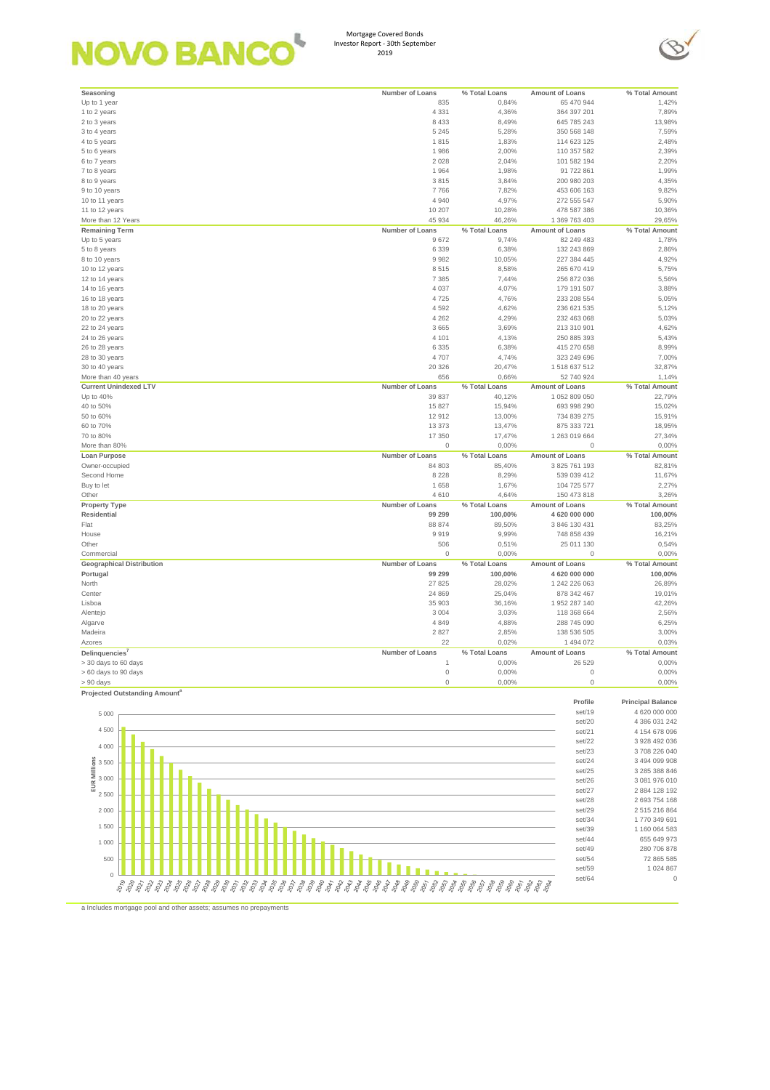# **NOVO BANCO**

Mortgage Covered Bonds Investor Report - 30th September 2019



set/64 0

| Seasoning                                              | Number of Loans     | % Total Loans | Amount of Loans        | % Total Amount              |
|--------------------------------------------------------|---------------------|---------------|------------------------|-----------------------------|
| Up to 1 year                                           | 835                 | 0,84%         | 65 470 944             | 1,42%                       |
|                                                        |                     |               |                        |                             |
| 1 to 2 years                                           | 4 3 3 1             | 4,36%         | 364 397 201            | 7,89%                       |
| 2 to 3 years                                           | 8 4 3 3             | 8,49%         | 645 785 243            | 13,98%                      |
| 3 to 4 years                                           | 5 2 4 5             | 5,28%         | 350 568 148            | 7,59%                       |
| 4 to 5 years                                           | 1815                | 1,83%         | 114 623 125            | 2,48%                       |
|                                                        |                     |               |                        |                             |
| 5 to 6 years                                           | 1986                | 2,00%         | 110 357 582            | 2,39%                       |
| 6 to 7 years                                           | 2 0 2 8             | 2,04%         | 101 582 194            | 2,20%                       |
| 7 to 8 years                                           | 1964                | 1,98%         | 91 722 861             | 1,99%                       |
| 8 to 9 years                                           | 3815                | 3,84%         | 200 980 203            | 4,35%                       |
|                                                        | 7766                |               |                        |                             |
| 9 to 10 years                                          |                     | 7,82%         | 453 606 163            | 9,82%                       |
| 10 to 11 years                                         | 4 9 4 0             | 4,97%         | 272 555 547            | 5,90%                       |
| 11 to 12 years                                         | 10 207              | 10,28%        | 478 587 386            | 10,36%                      |
| More than 12 Years                                     | 45 934              | 46,26%        | 1 369 763 403          | 29,65%                      |
|                                                        | Number of Loans     |               |                        |                             |
| <b>Remaining Term</b>                                  |                     | % Total Loans | Amount of Loans        | % Total Amount              |
| Up to 5 years                                          | 9672                | 9,74%         | 82 249 483             | 1,78%                       |
| 5 to 8 years                                           | 6 3 3 9             | 6,38%         | 132 243 869            | 2,86%                       |
| 8 to 10 years                                          | 9982                | 10,05%        | 227 384 445            | 4,92%                       |
|                                                        | 8515                |               |                        |                             |
| 10 to 12 years                                         |                     | 8,58%         | 265 670 419            | 5,75%                       |
| 12 to 14 years                                         | 7 3 8 5             | 7,44%         | 256 872 036            | 5,56%                       |
| 14 to 16 years                                         | 4 0 3 7             | 4,07%         | 179 191 507            | 3,88%                       |
| 16 to 18 years                                         | 4725                | 4,76%         | 233 208 554            | 5,05%                       |
|                                                        | 4592                |               | 236 621 535            | 5,12%                       |
| 18 to 20 years                                         |                     | 4,62%         |                        |                             |
| 20 to 22 years                                         | 4 2 6 2             | 4,29%         | 232 463 068            | 5,03%                       |
| 22 to 24 years                                         | 3 6 6 5             | 3,69%         | 213 310 901            | 4,62%                       |
| 24 to 26 years                                         | 4 1 0 1             | 4,13%         | 250 885 393            | 5,43%                       |
| 26 to 28 years                                         | 6 3 3 5             | 6,38%         | 415 270 658            | 8,99%                       |
|                                                        |                     |               |                        |                             |
| 28 to 30 years                                         | 4707                | 4,74%         | 323 249 696            | 7,00%                       |
| 30 to 40 years                                         | 20 326              | 20,47%        | 1518637512             | 32,87%                      |
| More than 40 years                                     | 656                 | 0,66%         | 52 740 924             | 1,14%                       |
| <b>Current Unindexed LTV</b>                           | Number of Loans     | % Total Loans | Amount of Loans        | % Total Amount              |
|                                                        |                     |               |                        |                             |
| Up to 40%                                              | 39 837              | 40,12%        | 1 052 809 050          | 22,79%                      |
| 40 to 50%                                              | 15 827              | 15,94%        | 693 998 290            | 15,02%                      |
| 50 to 60%                                              | 12912               | 13,00%        | 734 839 275            | 15,91%                      |
| 60 to 70%                                              | 13 373              | 13,47%        | 875 333 721            | 18,95%                      |
|                                                        |                     |               |                        |                             |
| 70 to 80%                                              | 17 350              | 17,47%        | 1 263 019 664          | 27,34%                      |
| More than 80%                                          | 0                   | 0,00%         | $\mathbf 0$            | 0,00%                       |
| Loan Purpose                                           | Number of Loans     | % Total Loans | Amount of Loans        | % Total Amount              |
| Owner-occupied                                         | 84 803              | 85,40%        | 3 825 761 193          | 82,81%                      |
|                                                        |                     |               |                        |                             |
| Second Home                                            | 8 2 2 8             | 8,29%         | 539 039 412            | 11,67%                      |
| Buy to let                                             | 1 6 5 8             | 1,67%         | 104 725 577            | 2,27%                       |
| Other                                                  | 4610                | 4,64%         | 150 473 818            | 3,26%                       |
|                                                        | Number of Loans     |               | <b>Amount of Loans</b> |                             |
| <b>Property Type</b>                                   |                     | % Total Loans |                        | % Total Amount              |
| Residential                                            | 99 299              | 100,00%       | 4 620 000 000          | 100,00%                     |
| Flat                                                   | 88 874              | 89,50%        | 3 846 130 431          | 83,25%                      |
| House                                                  | 9919                | 9,99%         | 748 858 439            | 16,21%                      |
|                                                        | 506                 |               |                        |                             |
| Other                                                  |                     | 0,51%         | 25 011 130             | 0,54%                       |
| Commercial                                             | 0                   | 0,00%         | $\mathbf 0$            | 0,00%                       |
| <b>Geographical Distribution</b>                       | Number of Loans     | % Total Loans | Amount of Loans        | % Total Amount              |
| Portugal                                               | 99 299              | 100,00%       | 4 620 000 000          |                             |
|                                                        |                     |               |                        |                             |
| North                                                  |                     |               |                        | 100,00%                     |
| Center                                                 | 27 8 25             | 28,02%        | 1 242 226 063          | 26,89%                      |
|                                                        | 24 8 69             | 25,04%        | 878 342 467            | 19,01%                      |
|                                                        | 35 903              |               | 1 952 287 140          |                             |
| Lisboa                                                 |                     | 36,16%        |                        | 42,26%                      |
| Alentejo                                               | 3 0 0 4             | 3,03%         | 118 368 664            | 2,56%                       |
| Algarve                                                | 4 8 4 9             | 4,88%         | 288 745 090            | 6,25%                       |
| Madeira                                                | 2827                | 2,85%         | 138 536 505            | 3,00%                       |
|                                                        |                     |               | 1 494 072              |                             |
| Azores                                                 | 22                  | 0,02%         |                        | 0,03%                       |
| Delinquencies'                                         | Number of Loans     | % Total Loans | Amount of Loans        | % Total Amount              |
| 30 days to 60 days                                     |                     | 0,00%         | 26 529                 | 0,00%                       |
| > 60 days to 90 days                                   | $\mathbb O$         | 0,00%         | $\mathbb O$            | 0,00%                       |
|                                                        |                     |               |                        |                             |
| $> 90$ days                                            | $\mathsf{O}\xspace$ | 0,00%         | $\mathbf 0$            | 0,00%                       |
| Projected Outstanding Amount <sup>a</sup>              |                     |               |                        |                             |
|                                                        |                     |               | Profile                | <b>Principal Balance</b>    |
|                                                        |                     |               | set/19                 | 4 620 000 000               |
| 5 0 0 0                                                |                     |               |                        |                             |
|                                                        |                     |               | set/20                 | 4 386 031 242               |
| 4 500                                                  |                     |               | set/21                 | 4 154 678 096               |
|                                                        |                     |               | set/22                 | 3 928 492 036               |
| 4 0 0 0                                                |                     |               | set/23                 | 3708 226 040                |
|                                                        |                     |               |                        |                             |
|                                                        |                     |               | set/24                 | 3 494 099 908               |
|                                                        |                     |               | set/25                 | 3 285 388 846               |
|                                                        |                     |               | set/26                 | 3 081 976 010               |
| EUR Millions<br>$\frac{3}{2}$ 500<br>$\frac{3}{2}$ 500 |                     |               | set/27                 | 2 884 128 192               |
| 2 5 0 0                                                |                     |               |                        |                             |
|                                                        |                     |               | set/28                 | 2 693 754 168               |
| 2 0 0 0                                                |                     |               | set/29                 | 2515216864                  |
|                                                        |                     |               | set/34                 | 1770 349 691                |
| 1 500                                                  |                     |               | set/39                 | 1 160 064 583               |
|                                                        |                     |               |                        |                             |
| 1 0 0 0                                                |                     |               | set/44                 | 655 649 973                 |
|                                                        |                     |               | set/49                 | 280 706 878                 |
| 500                                                    |                     |               | set/54<br>set/59       | 72 865 585<br>1 0 2 4 8 6 7 |

a Includes mortgage pool and other assets; assumes no prepayments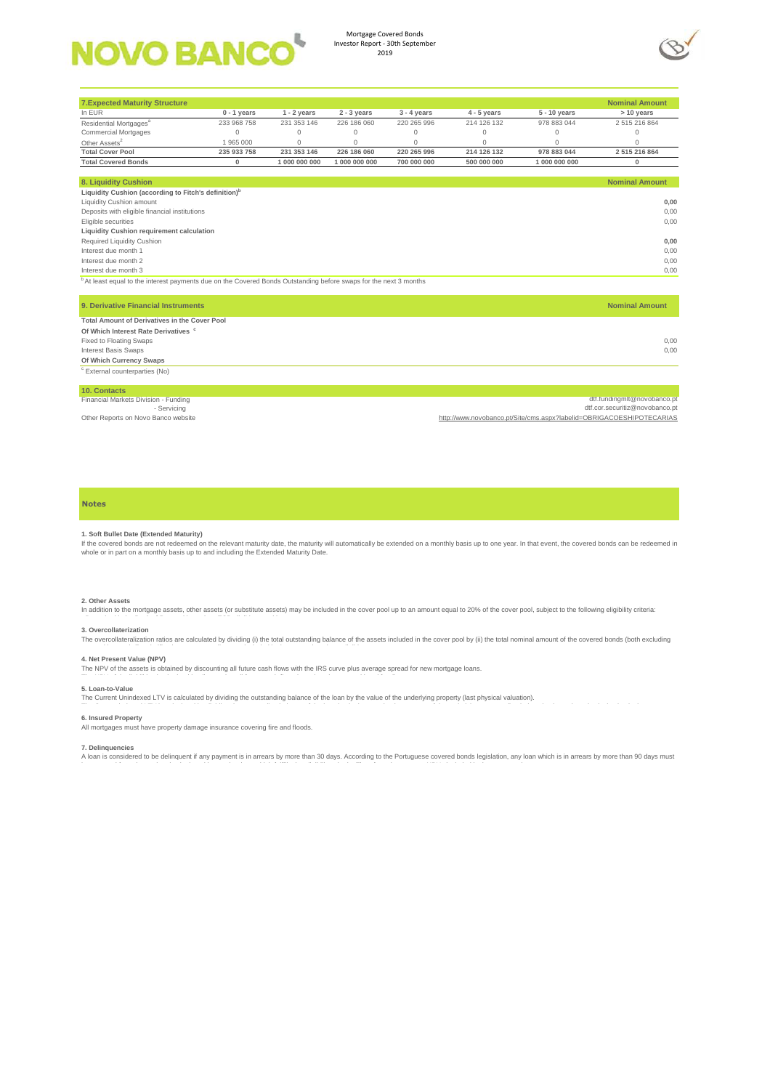

Mortgage Covered Bonds Investor Report - 30th September 2019



| <b>7.Expected Maturity Structure</b>                                                                                         |               |               |               |               |               |                | <b>Nominal Amount</b>                                                |
|------------------------------------------------------------------------------------------------------------------------------|---------------|---------------|---------------|---------------|---------------|----------------|----------------------------------------------------------------------|
| In EUR                                                                                                                       | $0 - 1$ years | $1 - 2$ years | $2 - 3$ years | $3 - 4$ years | $4 - 5$ years | $5 - 10$ years | > 10 years                                                           |
| Residential Mortgages <sup>a</sup>                                                                                           | 233 968 758   | 231 353 146   | 226 186 060   | 220 265 996   | 214 126 132   | 978 883 044    | 2515216864                                                           |
| <b>Commercial Mortgages</b>                                                                                                  | $\Omega$      | $\mathbf{0}$  | $\mathbf 0$   | $\Omega$      | $\mathbf{0}$  | $\Omega$       | $\Omega$                                                             |
| Other Assets <sup>2</sup>                                                                                                    | 1 965 000     | $\circ$       | $\mathbf 0$   | $\mathbf{0}$  | $\mathbf 0$   | $\mathbf 0$    | $\Omega$                                                             |
| <b>Total Cover Pool</b>                                                                                                      | 235 933 758   | 231 353 146   | 226 186 060   | 220 265 996   | 214 126 132   | 978 883 044    | 2 515 216 864                                                        |
| <b>Total Covered Bonds</b>                                                                                                   | $\bf{0}$      | 1 000 000 000 | 1 000 000 000 | 700 000 000   | 500 000 000   | 1 000 000 000  | $\bf{0}$                                                             |
|                                                                                                                              |               |               |               |               |               |                |                                                                      |
| 8. Liquidity Cushion                                                                                                         |               |               |               |               |               |                | <b>Nominal Amount</b>                                                |
| Liquidity Cushion (according to Fitch's definition) <sup>b</sup>                                                             |               |               |               |               |               |                |                                                                      |
| Liquidity Cushion amount                                                                                                     |               |               |               |               |               |                | 0,00                                                                 |
| Deposits with eligible financial institutions                                                                                |               |               |               |               |               |                | 0.00                                                                 |
| Eligible securities                                                                                                          |               |               |               |               |               |                | 0.00                                                                 |
| Liquidity Cushion requirement calculation                                                                                    |               |               |               |               |               |                |                                                                      |
| Required Liquidity Cushion                                                                                                   |               |               |               |               |               |                | 0,00                                                                 |
| Interest due month 1                                                                                                         |               |               |               |               |               |                | 0,00                                                                 |
| Interest due month 2                                                                                                         |               |               |               |               |               |                | 0.00                                                                 |
| Interest due month 3                                                                                                         |               |               |               |               |               |                | 0,00                                                                 |
| <sup>b</sup> At least equal to the interest payments due on the Covered Bonds Outstanding before swaps for the next 3 months |               |               |               |               |               |                |                                                                      |
|                                                                                                                              |               |               |               |               |               |                |                                                                      |
|                                                                                                                              |               |               |               |               |               |                |                                                                      |
| 9. Derivative Financial Instruments                                                                                          |               |               |               |               |               |                | <b>Nominal Amount</b>                                                |
| Total Amount of Derivatives in the Cover Pool                                                                                |               |               |               |               |               |                |                                                                      |
| Of Which Interest Rate Derivatives <sup>c</sup>                                                                              |               |               |               |               |               |                |                                                                      |
| Fixed to Floating Swaps                                                                                                      |               |               |               |               |               |                | 0.00                                                                 |
| <b>Interest Basis Swaps</b>                                                                                                  |               |               |               |               |               |                | 0.00                                                                 |
| Of Which Currency Swaps                                                                                                      |               |               |               |               |               |                |                                                                      |
| <sup>c</sup> External counterparties (No)                                                                                    |               |               |               |               |               |                |                                                                      |
|                                                                                                                              |               |               |               |               |               |                |                                                                      |
| 10. Contacts                                                                                                                 |               |               |               |               |               |                |                                                                      |
| Financial Markets Division - Funding                                                                                         |               |               |               |               |               |                | dtf.fundingmlt@novobanco.pt                                          |
| - Servicing                                                                                                                  |               |               |               |               |               |                | dtf.cor.securitiz@novobanco.pt                                       |
| Other Reports on Novo Banco website                                                                                          |               |               |               |               |               |                | http://www.novobanco.pt/Site/cms.aspx?labelid=OBRIGACOESHIPOTECARIAS |

### **Notes**

### **1. Soft Bullet Date (Extended Maturity)**

If the covered bonds are not redeemed on the relevant maturity date, the maturity will automatically be extended on a monthly basis up to one year. In that event, the covered bonds can be redeemed in<br>whole or in part on a

## **2. Other Assets**

In addition to the mortgage assets, other assets (or substitute assets) may be included in the cover pool up to an amount equal to 20% of the cover pool, subject to the following eligibility criteria:

#### **3. Overcollaterization**

The overcollateralization ratios are calculated by dividing (i) the total outstanding balance of the assets included in the cover pool by (ii) the total nominal amount of the covered bonds (both excluding

**4. Net Present Value (NPV)**<br>The NPV of the assets is obtained by discounting all future cash flows with the IRS curve plus average spread for new mortgage loans.

### **5. Loan-to-Value**

The Current Unindexed LTV is calculated by dividing the outstanding balance of the loan by the value of the underlying property (last physical valuation).

## **6. Insured Property**

All mortgages must have property damage insurance covering fire and floods.

**7. Delinquencies**<br>A loan is considered to be delinquent if any payment is in arrears by more than 30 days. According to the Portuguese covered bonds legislation, any loan which is in arrears by more than 90 days must